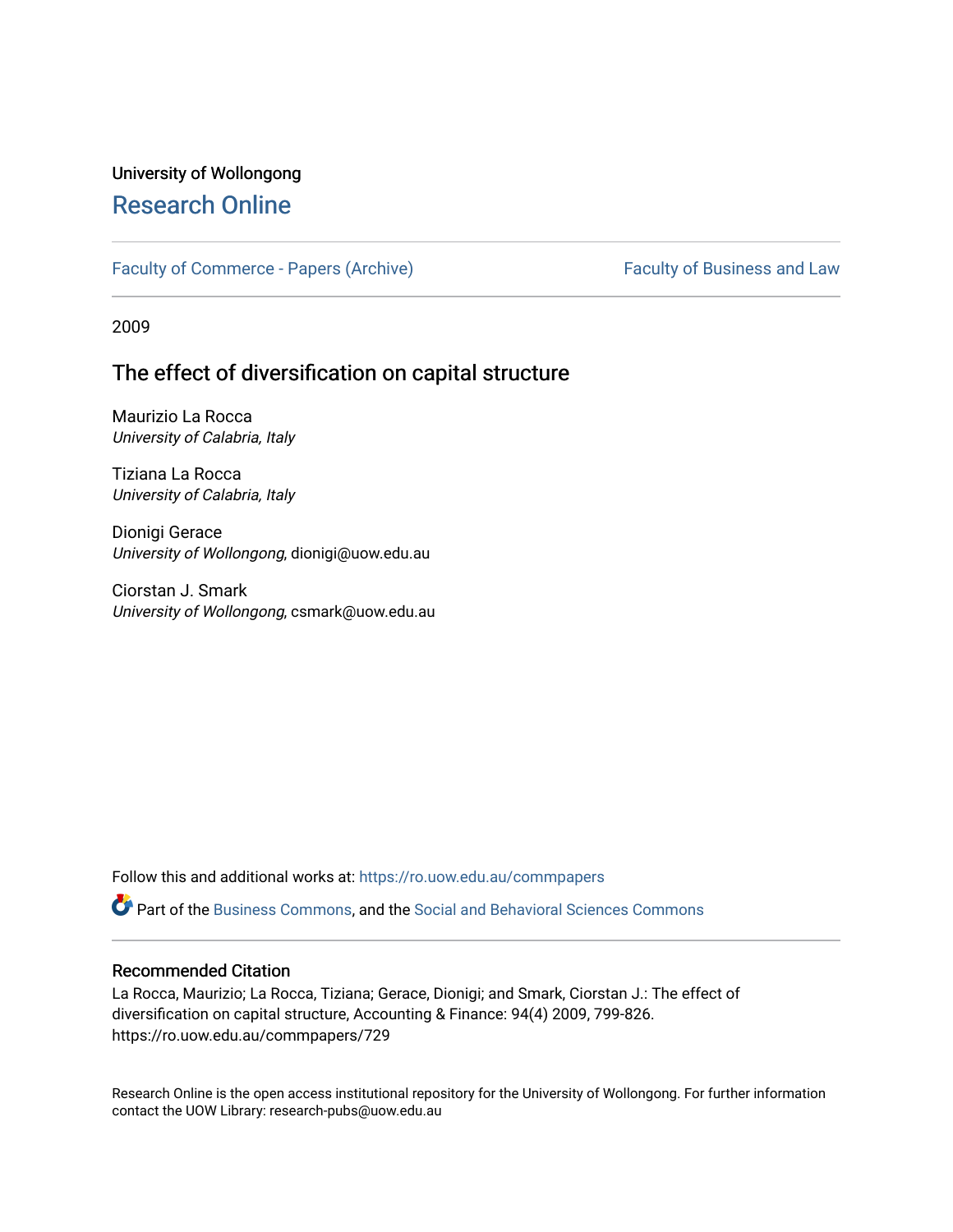# University of Wollongong [Research Online](https://ro.uow.edu.au/)

#### [Faculty of Commerce - Papers \(Archive\)](https://ro.uow.edu.au/commpapers) Faculty of Business and Law

2009

# The effect of diversification on capital structure

Maurizio La Rocca University of Calabria, Italy

Tiziana La Rocca University of Calabria, Italy

Dionigi Gerace University of Wollongong, dionigi@uow.edu.au

Ciorstan J. Smark University of Wollongong, csmark@uow.edu.au

Follow this and additional works at: [https://ro.uow.edu.au/commpapers](https://ro.uow.edu.au/commpapers?utm_source=ro.uow.edu.au%2Fcommpapers%2F729&utm_medium=PDF&utm_campaign=PDFCoverPages) 

Part of the [Business Commons](http://network.bepress.com/hgg/discipline/622?utm_source=ro.uow.edu.au%2Fcommpapers%2F729&utm_medium=PDF&utm_campaign=PDFCoverPages), and the [Social and Behavioral Sciences Commons](http://network.bepress.com/hgg/discipline/316?utm_source=ro.uow.edu.au%2Fcommpapers%2F729&utm_medium=PDF&utm_campaign=PDFCoverPages) 

#### Recommended Citation

La Rocca, Maurizio; La Rocca, Tiziana; Gerace, Dionigi; and Smark, Ciorstan J.: The effect of diversification on capital structure, Accounting & Finance: 94(4) 2009, 799-826. https://ro.uow.edu.au/commpapers/729

Research Online is the open access institutional repository for the University of Wollongong. For further information contact the UOW Library: research-pubs@uow.edu.au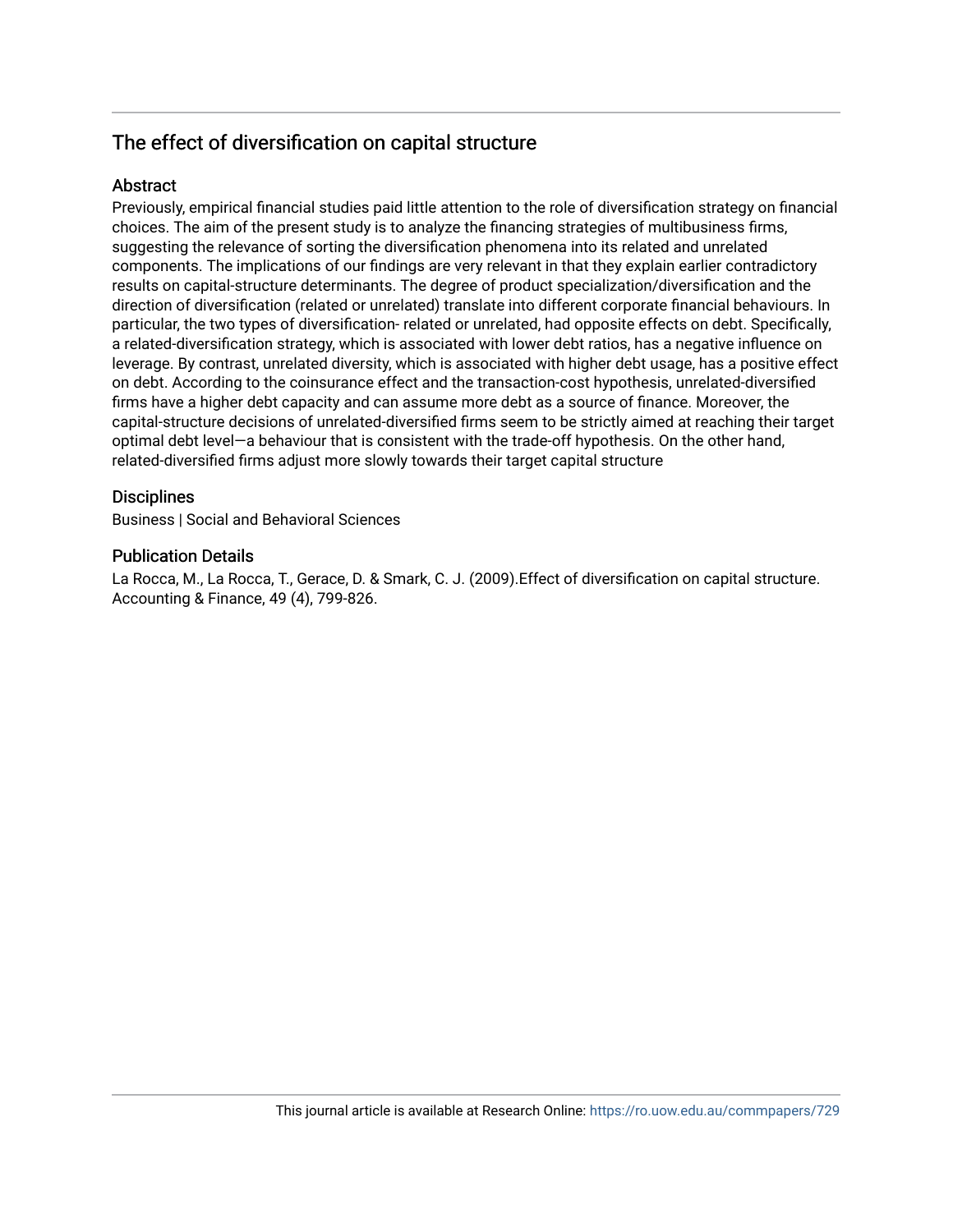# The effect of diversification on capital structure

### **Abstract**

Previously, empirical financial studies paid little attention to the role of diversification strategy on financial choices. The aim of the present study is to analyze the financing strategies of multibusiness firms, suggesting the relevance of sorting the diversification phenomena into its related and unrelated components. The implications of our findings are very relevant in that they explain earlier contradictory results on capital-structure determinants. The degree of product specialization/diversification and the direction of diversification (related or unrelated) translate into different corporate financial behaviours. In particular, the two types of diversification- related or unrelated, had opposite effects on debt. Specifically, a related-diversification strategy, which is associated with lower debt ratios, has a negative influence on leverage. By contrast, unrelated diversity, which is associated with higher debt usage, has a positive effect on debt. According to the coinsurance effect and the transaction-cost hypothesis, unrelated-diversified firms have a higher debt capacity and can assume more debt as a source of finance. Moreover, the capital-structure decisions of unrelated-diversified firms seem to be strictly aimed at reaching their target optimal debt level—a behaviour that is consistent with the trade-off hypothesis. On the other hand, related-diversified firms adjust more slowly towards their target capital structure

#### **Disciplines**

Business | Social and Behavioral Sciences

#### Publication Details

La Rocca, M., La Rocca, T., Gerace, D. & Smark, C. J. (2009).Effect of diversification on capital structure. Accounting & Finance, 49 (4), 799-826.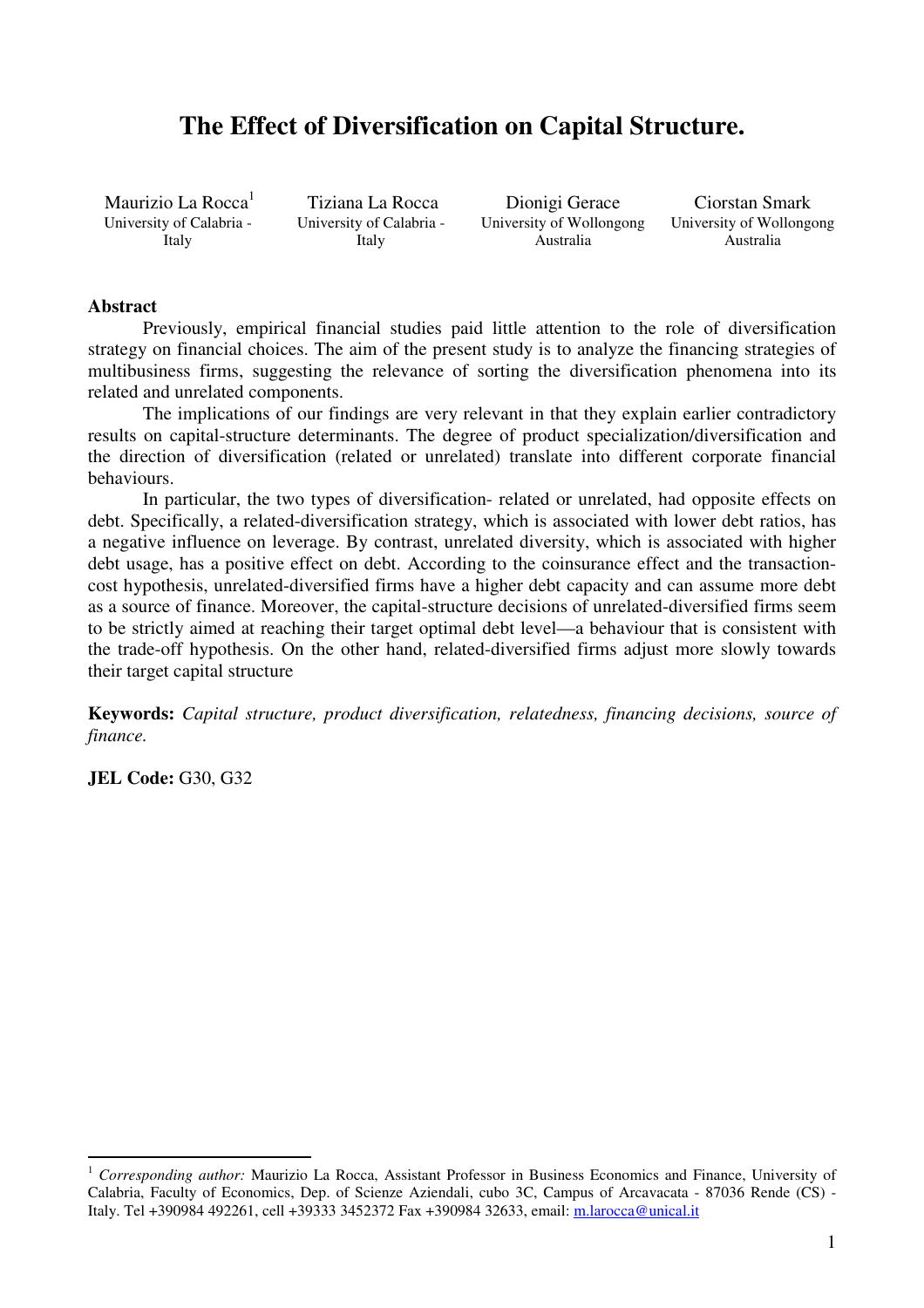# **The Effect of Diversification on Capital Structure.**

Maurizio La Rocca<sup>1</sup> University of Calabria - Italy

Tiziana La Rocca University of Calabria - Italy

Dionigi Gerace University of Wollongong Australia

Ciorstan Smark University of Wollongong Australia

#### **Abstract**

 Previously, empirical financial studies paid little attention to the role of diversification strategy on financial choices. The aim of the present study is to analyze the financing strategies of multibusiness firms, suggesting the relevance of sorting the diversification phenomena into its related and unrelated components.

 The implications of our findings are very relevant in that they explain earlier contradictory results on capital-structure determinants. The degree of product specialization/diversification and the direction of diversification (related or unrelated) translate into different corporate financial behaviours.

 In particular, the two types of diversification- related or unrelated, had opposite effects on debt. Specifically, a related-diversification strategy, which is associated with lower debt ratios, has a negative influence on leverage. By contrast, unrelated diversity, which is associated with higher debt usage, has a positive effect on debt. According to the coinsurance effect and the transactioncost hypothesis, unrelated-diversified firms have a higher debt capacity and can assume more debt as a source of finance. Moreover, the capital-structure decisions of unrelated-diversified firms seem to be strictly aimed at reaching their target optimal debt level—a behaviour that is consistent with the trade-off hypothesis. On the other hand, related-diversified firms adjust more slowly towards their target capital structure

**Keywords:** *Capital structure, product diversification, relatedness, financing decisions, source of finance.*

**JEL Code:** G30, G32

<sup>&</sup>lt;sup>1</sup> *Corresponding author: Maurizio La Rocca, Assistant Professor in Business Economics and Finance, University of* Calabria, Faculty of Economics, Dep. of Scienze Aziendali, cubo 3C, Campus of Arcavacata - 87036 Rende (CS) - Italy. Tel +390984 492261, cell +39333 3452372 Fax +390984 32633, email: m.larocca@unical.it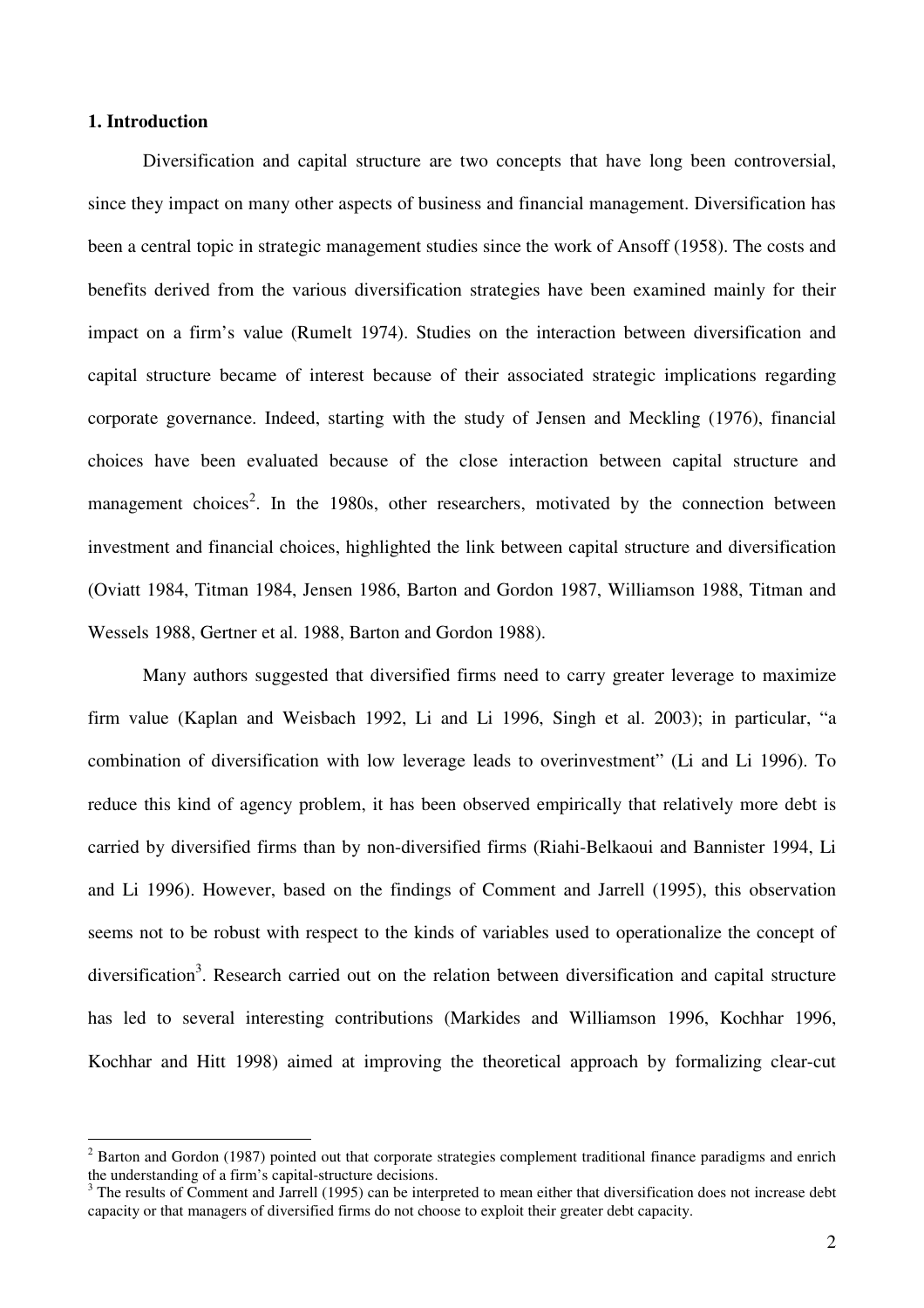### **1. Introduction**

Diversification and capital structure are two concepts that have long been controversial, since they impact on many other aspects of business and financial management. Diversification has been a central topic in strategic management studies since the work of Ansoff (1958). The costs and benefits derived from the various diversification strategies have been examined mainly for their impact on a firm's value (Rumelt 1974). Studies on the interaction between diversification and capital structure became of interest because of their associated strategic implications regarding corporate governance. Indeed, starting with the study of Jensen and Meckling (1976), financial choices have been evaluated because of the close interaction between capital structure and management choices<sup>2</sup>. In the 1980s, other researchers, motivated by the connection between investment and financial choices, highlighted the link between capital structure and diversification (Oviatt 1984, Titman 1984, Jensen 1986, Barton and Gordon 1987, Williamson 1988, Titman and Wessels 1988, Gertner et al. 1988, Barton and Gordon 1988).

Many authors suggested that diversified firms need to carry greater leverage to maximize firm value (Kaplan and Weisbach 1992, Li and Li 1996, Singh et al. 2003); in particular, "a combination of diversification with low leverage leads to overinvestment" (Li and Li 1996). To reduce this kind of agency problem, it has been observed empirically that relatively more debt is carried by diversified firms than by non-diversified firms (Riahi-Belkaoui and Bannister 1994, Li and Li 1996). However, based on the findings of Comment and Jarrell (1995), this observation seems not to be robust with respect to the kinds of variables used to operationalize the concept of diversification<sup>3</sup>. Research carried out on the relation between diversification and capital structure has led to several interesting contributions (Markides and Williamson 1996, Kochhar 1996, Kochhar and Hitt 1998) aimed at improving the theoretical approach by formalizing clear-cut

<sup>&</sup>lt;sup>2</sup> Barton and Gordon (1987) pointed out that corporate strategies complement traditional finance paradigms and enrich the understanding of a firm's capital-structure decisions.

 $3$  The results of Comment and Jarrell (1995) can be interpreted to mean either that diversification does not increase debt capacity or that managers of diversified firms do not choose to exploit their greater debt capacity.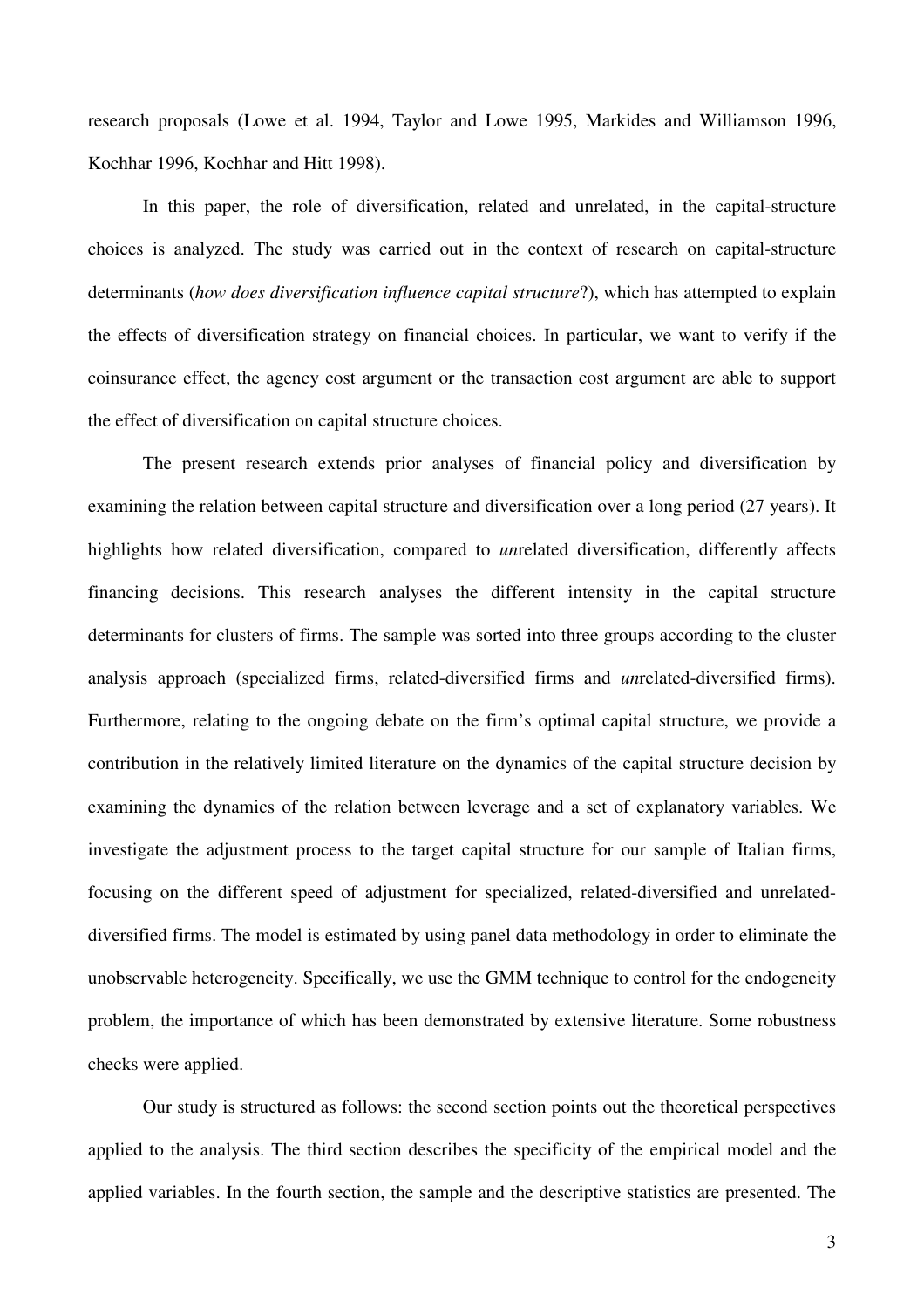research proposals (Lowe et al. 1994, Taylor and Lowe 1995, Markides and Williamson 1996, Kochhar 1996, Kochhar and Hitt 1998).

In this paper, the role of diversification, related and unrelated, in the capital-structure choices is analyzed. The study was carried out in the context of research on capital-structure determinants (*how does diversification influence capital structure*?), which has attempted to explain the effects of diversification strategy on financial choices. In particular, we want to verify if the coinsurance effect, the agency cost argument or the transaction cost argument are able to support the effect of diversification on capital structure choices.

The present research extends prior analyses of financial policy and diversification by examining the relation between capital structure and diversification over a long period (27 years). It highlights how related diversification, compared to *un*related diversification, differently affects financing decisions. This research analyses the different intensity in the capital structure determinants for clusters of firms. The sample was sorted into three groups according to the cluster analysis approach (specialized firms, related-diversified firms and *un*related-diversified firms). Furthermore, relating to the ongoing debate on the firm's optimal capital structure, we provide a contribution in the relatively limited literature on the dynamics of the capital structure decision by examining the dynamics of the relation between leverage and a set of explanatory variables. We investigate the adjustment process to the target capital structure for our sample of Italian firms, focusing on the different speed of adjustment for specialized, related-diversified and unrelateddiversified firms. The model is estimated by using panel data methodology in order to eliminate the unobservable heterogeneity. Specifically, we use the GMM technique to control for the endogeneity problem, the importance of which has been demonstrated by extensive literature. Some robustness checks were applied.

Our study is structured as follows: the second section points out the theoretical perspectives applied to the analysis. The third section describes the specificity of the empirical model and the applied variables. In the fourth section, the sample and the descriptive statistics are presented. The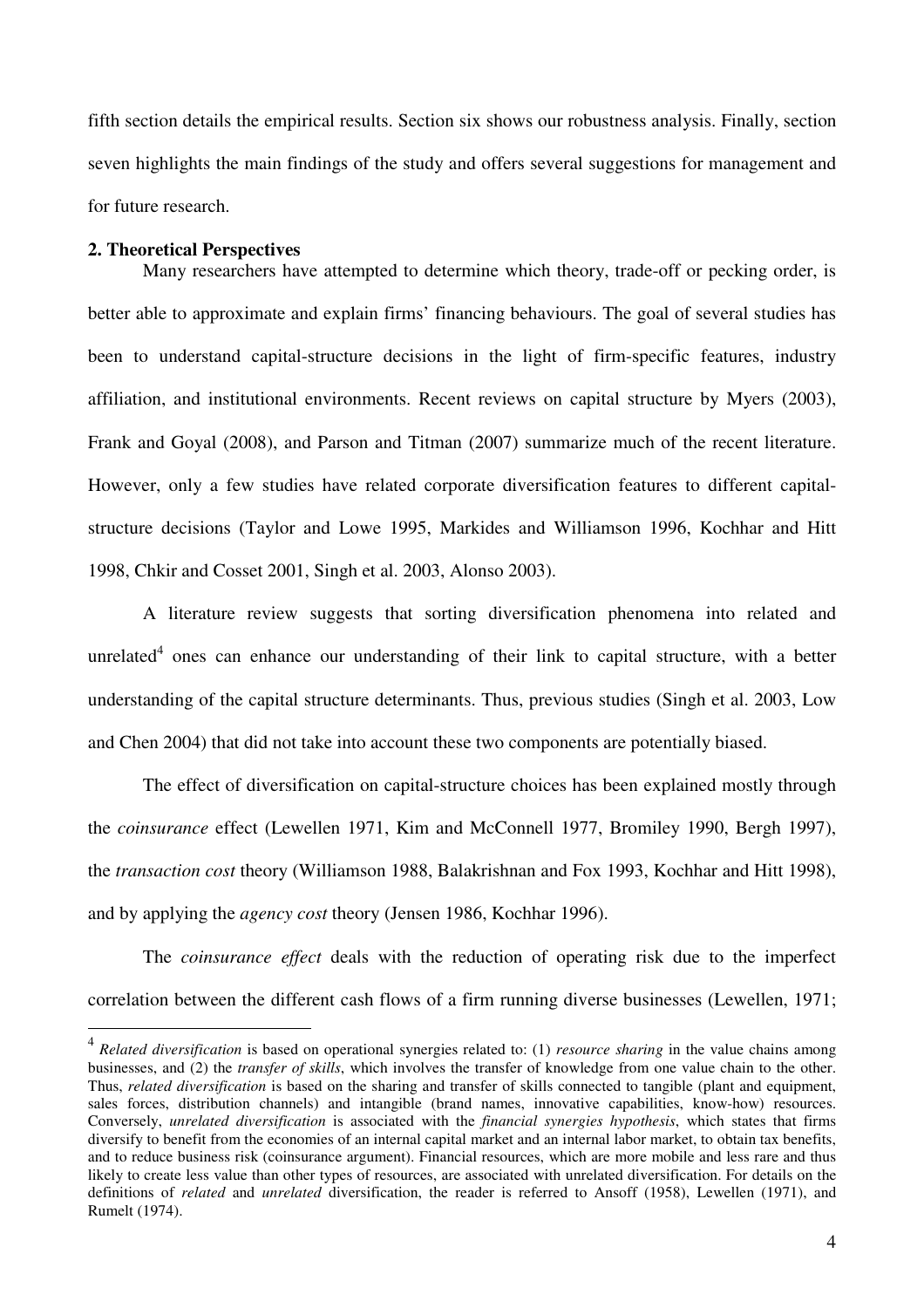fifth section details the empirical results. Section six shows our robustness analysis. Finally, section seven highlights the main findings of the study and offers several suggestions for management and for future research.

#### **2. Theoretical Perspectives**

 $\overline{a}$ 

Many researchers have attempted to determine which theory, trade-off or pecking order, is better able to approximate and explain firms' financing behaviours. The goal of several studies has been to understand capital-structure decisions in the light of firm-specific features, industry affiliation, and institutional environments. Recent reviews on capital structure by Myers (2003), Frank and Goyal (2008), and Parson and Titman (2007) summarize much of the recent literature. However, only a few studies have related corporate diversification features to different capitalstructure decisions (Taylor and Lowe 1995, Markides and Williamson 1996, Kochhar and Hitt 1998, Chkir and Cosset 2001, Singh et al. 2003, Alonso 2003).

A literature review suggests that sorting diversification phenomena into related and unrelated<sup>4</sup> ones can enhance our understanding of their link to capital structure, with a better understanding of the capital structure determinants. Thus, previous studies (Singh et al. 2003, Low and Chen 2004) that did not take into account these two components are potentially biased.

The effect of diversification on capital-structure choices has been explained mostly through the *coinsurance* effect (Lewellen 1971, Kim and McConnell 1977, Bromiley 1990, Bergh 1997), the *transaction cost* theory (Williamson 1988, Balakrishnan and Fox 1993, Kochhar and Hitt 1998), and by applying the *agency cost* theory (Jensen 1986, Kochhar 1996).

The *coinsurance effect* deals with the reduction of operating risk due to the imperfect correlation between the different cash flows of a firm running diverse businesses (Lewellen, 1971;

<sup>4</sup> *Related diversification* is based on operational synergies related to: (1) *resource sharing* in the value chains among businesses, and (2) the *transfer of skills*, which involves the transfer of knowledge from one value chain to the other. Thus, *related diversification* is based on the sharing and transfer of skills connected to tangible (plant and equipment, sales forces, distribution channels) and intangible (brand names, innovative capabilities, know-how) resources. Conversely, *unrelated diversification* is associated with the *financial synergies hypothesis*, which states that firms diversify to benefit from the economies of an internal capital market and an internal labor market, to obtain tax benefits, and to reduce business risk (coinsurance argument). Financial resources, which are more mobile and less rare and thus likely to create less value than other types of resources, are associated with unrelated diversification. For details on the definitions of *related* and *unrelated* diversification, the reader is referred to Ansoff (1958), Lewellen (1971), and Rumelt (1974).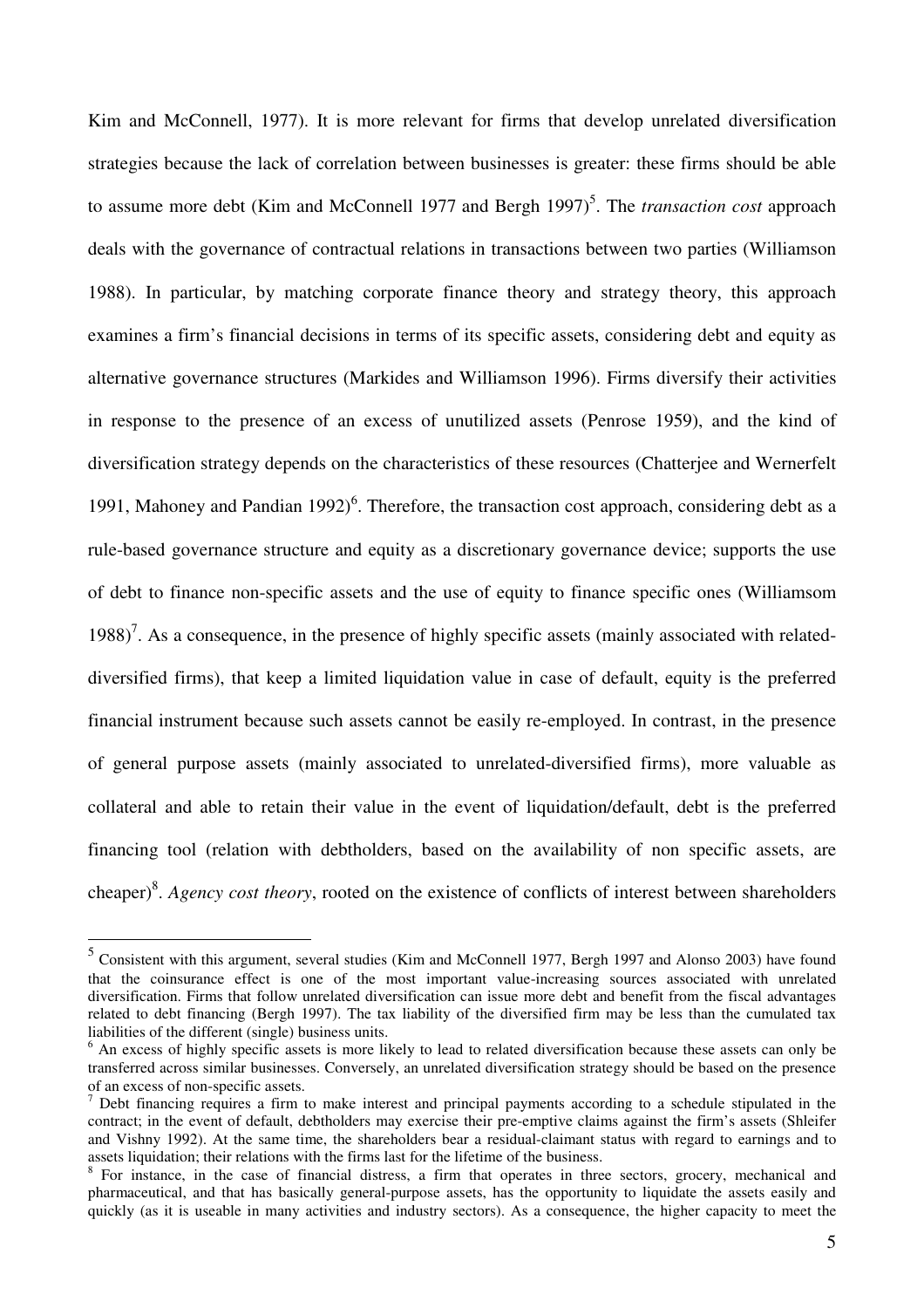Kim and McConnell, 1977). It is more relevant for firms that develop unrelated diversification strategies because the lack of correlation between businesses is greater: these firms should be able to assume more debt (Kim and McConnell 1977 and Bergh 1997)<sup>5</sup>. The *transaction cost* approach deals with the governance of contractual relations in transactions between two parties (Williamson 1988). In particular, by matching corporate finance theory and strategy theory, this approach examines a firm's financial decisions in terms of its specific assets, considering debt and equity as alternative governance structures (Markides and Williamson 1996). Firms diversify their activities in response to the presence of an excess of unutilized assets (Penrose 1959), and the kind of diversification strategy depends on the characteristics of these resources (Chatterjee and Wernerfelt 1991, Mahoney and Pandian  $1992$ <sup>6</sup>. Therefore, the transaction cost approach, considering debt as a rule-based governance structure and equity as a discretionary governance device; supports the use of debt to finance non-specific assets and the use of equity to finance specific ones (Williamsom 1988)<sup>7</sup>. As a consequence, in the presence of highly specific assets (mainly associated with relateddiversified firms), that keep a limited liquidation value in case of default, equity is the preferred financial instrument because such assets cannot be easily re-employed. In contrast, in the presence of general purpose assets (mainly associated to unrelated-diversified firms), more valuable as collateral and able to retain their value in the event of liquidation/default, debt is the preferred financing tool (relation with debtholders, based on the availability of non specific assets, are cheaper)<sup>8</sup>. *Agency cost theory*, rooted on the existence of conflicts of interest between shareholders

 5 Consistent with this argument, several studies (Kim and McConnell 1977, Bergh 1997 and Alonso 2003) have found that the coinsurance effect is one of the most important value-increasing sources associated with unrelated diversification. Firms that follow unrelated diversification can issue more debt and benefit from the fiscal advantages related to debt financing (Bergh 1997). The tax liability of the diversified firm may be less than the cumulated tax liabilities of the different (single) business units.

<sup>&</sup>lt;sup>6</sup> An excess of highly specific assets is more likely to lead to related diversification because these assets can only be transferred across similar businesses. Conversely, an unrelated diversification strategy should be based on the presence of an excess of non-specific assets.

 $<sup>7</sup>$  Debt financing requires a firm to make interest and principal payments according to a schedule stipulated in the</sup> contract; in the event of default, debtholders may exercise their pre-emptive claims against the firm's assets (Shleifer and Vishny 1992). At the same time, the shareholders bear a residual-claimant status with regard to earnings and to assets liquidation; their relations with the firms last for the lifetime of the business.

<sup>&</sup>lt;sup>8</sup> For instance, in the case of financial distress, a firm that operates in three sectors, grocery, mechanical and pharmaceutical, and that has basically general-purpose assets, has the opportunity to liquidate the assets easily and quickly (as it is useable in many activities and industry sectors). As a consequence, the higher capacity to meet the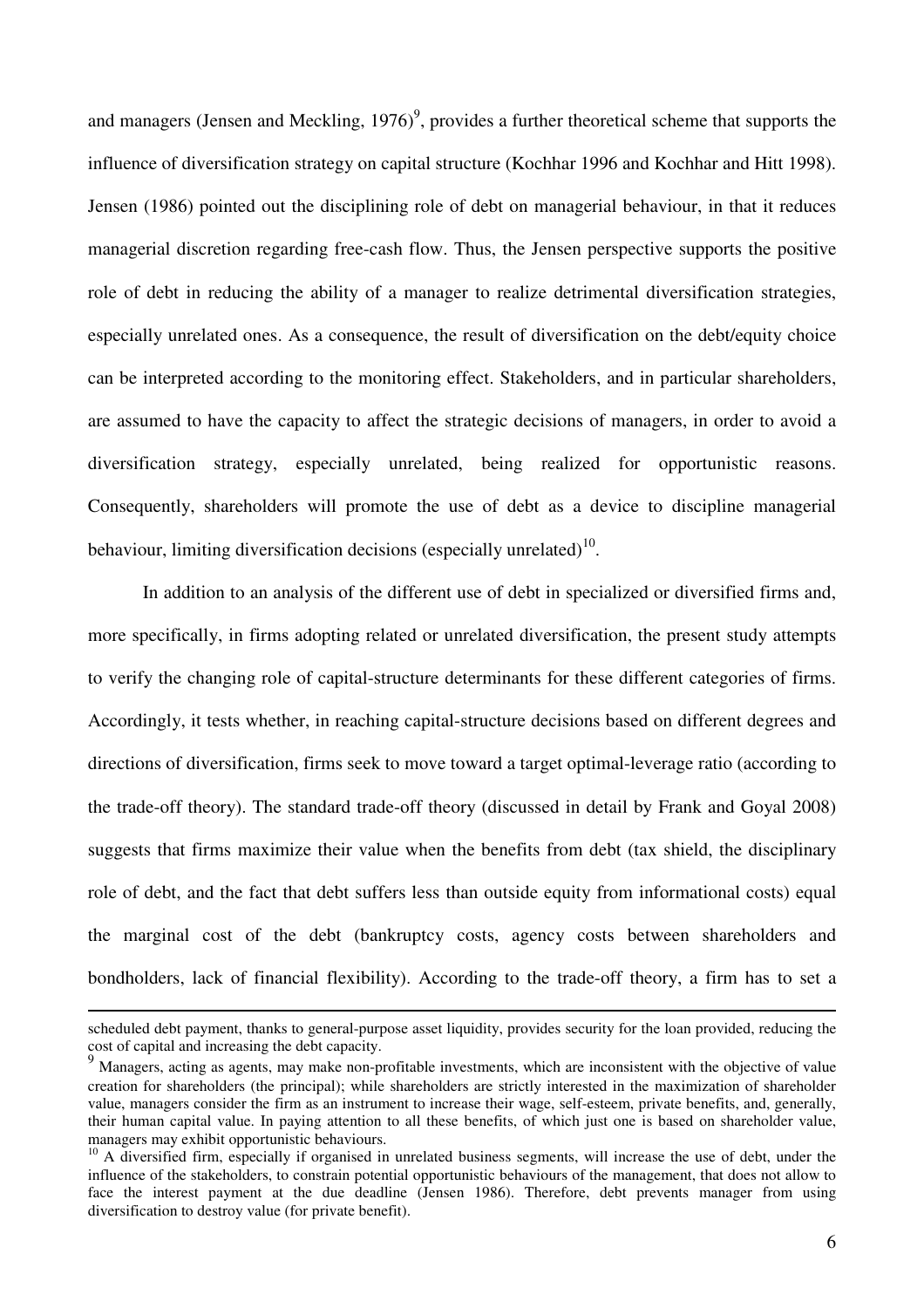and managers (Jensen and Meckling, 1976)<sup>9</sup>, provides a further theoretical scheme that supports the influence of diversification strategy on capital structure (Kochhar 1996 and Kochhar and Hitt 1998). Jensen (1986) pointed out the disciplining role of debt on managerial behaviour, in that it reduces managerial discretion regarding free-cash flow. Thus, the Jensen perspective supports the positive role of debt in reducing the ability of a manager to realize detrimental diversification strategies, especially unrelated ones. As a consequence, the result of diversification on the debt/equity choice can be interpreted according to the monitoring effect. Stakeholders, and in particular shareholders, are assumed to have the capacity to affect the strategic decisions of managers, in order to avoid a diversification strategy, especially unrelated, being realized for opportunistic reasons. Consequently, shareholders will promote the use of debt as a device to discipline managerial behaviour, limiting diversification decisions (especially unrelated) $^{10}$ .

In addition to an analysis of the different use of debt in specialized or diversified firms and, more specifically, in firms adopting related or unrelated diversification, the present study attempts to verify the changing role of capital-structure determinants for these different categories of firms. Accordingly, it tests whether, in reaching capital-structure decisions based on different degrees and directions of diversification, firms seek to move toward a target optimal-leverage ratio (according to the trade-off theory). The standard trade-off theory (discussed in detail by Frank and Goyal 2008) suggests that firms maximize their value when the benefits from debt (tax shield, the disciplinary role of debt, and the fact that debt suffers less than outside equity from informational costs) equal the marginal cost of the debt (bankruptcy costs, agency costs between shareholders and bondholders, lack of financial flexibility). According to the trade-off theory, a firm has to set a

scheduled debt payment, thanks to general-purpose asset liquidity, provides security for the loan provided, reducing the cost of capital and increasing the debt capacity.

<sup>&</sup>lt;sup>9</sup> Managers, acting as agents, may make non-profitable investments, which are inconsistent with the objective of value creation for shareholders (the principal); while shareholders are strictly interested in the maximization of shareholder value, managers consider the firm as an instrument to increase their wage, self-esteem, private benefits, and, generally, their human capital value. In paying attention to all these benefits, of which just one is based on shareholder value, managers may exhibit opportunistic behaviours.

 $10$  A diversified firm, especially if organised in unrelated business segments, will increase the use of debt, under the influence of the stakeholders, to constrain potential opportunistic behaviours of the management, that does not allow to face the interest payment at the due deadline (Jensen 1986). Therefore, debt prevents manager from using diversification to destroy value (for private benefit).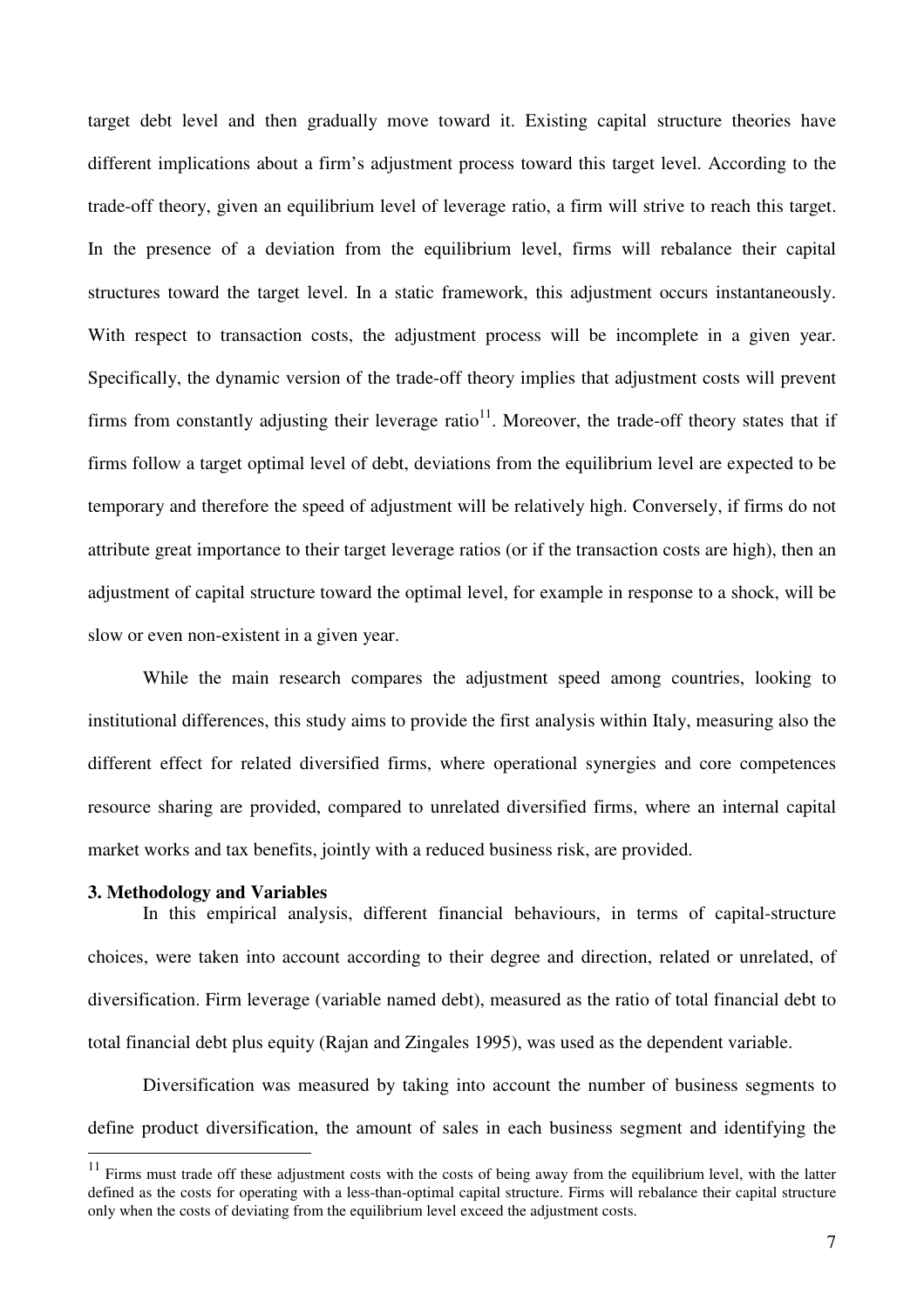target debt level and then gradually move toward it. Existing capital structure theories have different implications about a firm's adjustment process toward this target level. According to the trade-off theory, given an equilibrium level of leverage ratio, a firm will strive to reach this target. In the presence of a deviation from the equilibrium level, firms will rebalance their capital structures toward the target level. In a static framework, this adjustment occurs instantaneously. With respect to transaction costs, the adjustment process will be incomplete in a given year. Specifically, the dynamic version of the trade-off theory implies that adjustment costs will prevent firms from constantly adjusting their leverage ratio<sup>11</sup>. Moreover, the trade-off theory states that if firms follow a target optimal level of debt, deviations from the equilibrium level are expected to be temporary and therefore the speed of adjustment will be relatively high. Conversely, if firms do not attribute great importance to their target leverage ratios (or if the transaction costs are high), then an adjustment of capital structure toward the optimal level, for example in response to a shock, will be slow or even non-existent in a given year.

While the main research compares the adjustment speed among countries, looking to institutional differences, this study aims to provide the first analysis within Italy, measuring also the different effect for related diversified firms, where operational synergies and core competences resource sharing are provided, compared to unrelated diversified firms, where an internal capital market works and tax benefits, jointly with a reduced business risk, are provided.

#### **3. Methodology and Variables**

 $\overline{a}$ 

 In this empirical analysis, different financial behaviours, in terms of capital-structure choices, were taken into account according to their degree and direction, related or unrelated, of diversification. Firm leverage (variable named debt), measured as the ratio of total financial debt to total financial debt plus equity (Rajan and Zingales 1995), was used as the dependent variable.

Diversification was measured by taking into account the number of business segments to define product diversification, the amount of sales in each business segment and identifying the

 $11$  Firms must trade off these adjustment costs with the costs of being away from the equilibrium level, with the latter defined as the costs for operating with a less-than-optimal capital structure. Firms will rebalance their capital structure only when the costs of deviating from the equilibrium level exceed the adjustment costs.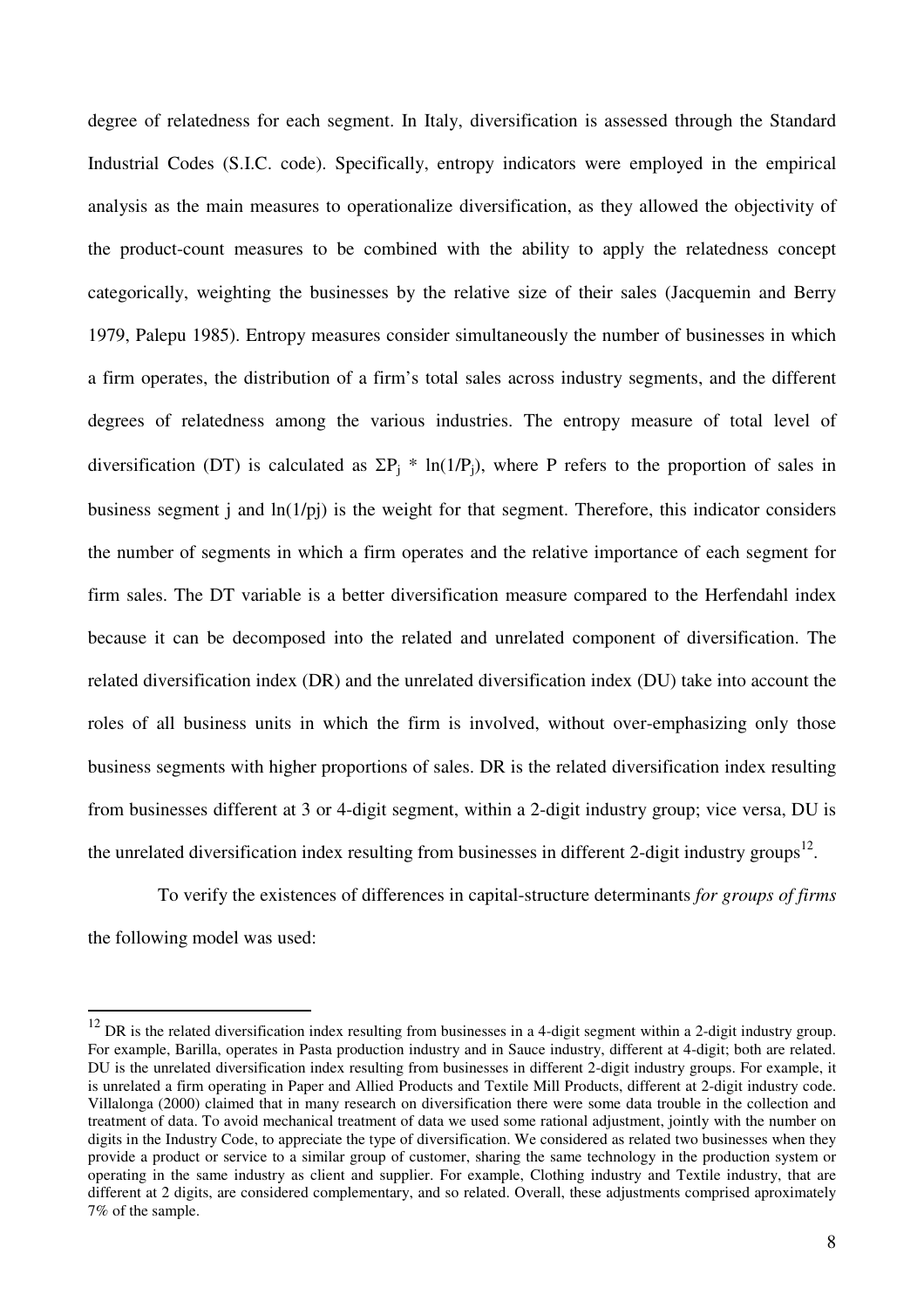degree of relatedness for each segment. In Italy, diversification is assessed through the Standard Industrial Codes (S.I.C. code). Specifically, entropy indicators were employed in the empirical analysis as the main measures to operationalize diversification, as they allowed the objectivity of the product-count measures to be combined with the ability to apply the relatedness concept categorically, weighting the businesses by the relative size of their sales (Jacquemin and Berry 1979, Palepu 1985). Entropy measures consider simultaneously the number of businesses in which a firm operates, the distribution of a firm's total sales across industry segments, and the different degrees of relatedness among the various industries. The entropy measure of total level of diversification (DT) is calculated as  $\Sigma P_j * ln(1/P_j)$ , where P refers to the proportion of sales in business segment j and  $ln(1/pi)$  is the weight for that segment. Therefore, this indicator considers the number of segments in which a firm operates and the relative importance of each segment for firm sales. The DT variable is a better diversification measure compared to the Herfendahl index because it can be decomposed into the related and unrelated component of diversification. The related diversification index (DR) and the unrelated diversification index (DU) take into account the roles of all business units in which the firm is involved, without over-emphasizing only those business segments with higher proportions of sales. DR is the related diversification index resulting from businesses different at 3 or 4-digit segment, within a 2-digit industry group; vice versa, DU is the unrelated diversification index resulting from businesses in different 2-digit industry groups<sup>12</sup>.

To verify the existences of differences in capital-structure determinants *for groups of firms* the following model was used:

 $12$  DR is the related diversification index resulting from businesses in a 4-digit segment within a 2-digit industry group. For example, Barilla, operates in Pasta production industry and in Sauce industry, different at 4-digit; both are related. DU is the unrelated diversification index resulting from businesses in different 2-digit industry groups. For example, it is unrelated a firm operating in Paper and Allied Products and Textile Mill Products, different at 2-digit industry code. Villalonga (2000) claimed that in many research on diversification there were some data trouble in the collection and treatment of data. To avoid mechanical treatment of data we used some rational adjustment, jointly with the number on digits in the Industry Code, to appreciate the type of diversification. We considered as related two businesses when they provide a product or service to a similar group of customer, sharing the same technology in the production system or operating in the same industry as client and supplier. For example, Clothing industry and Textile industry, that are different at 2 digits, are considered complementary, and so related. Overall, these adjustments comprised aproximately 7% of the sample.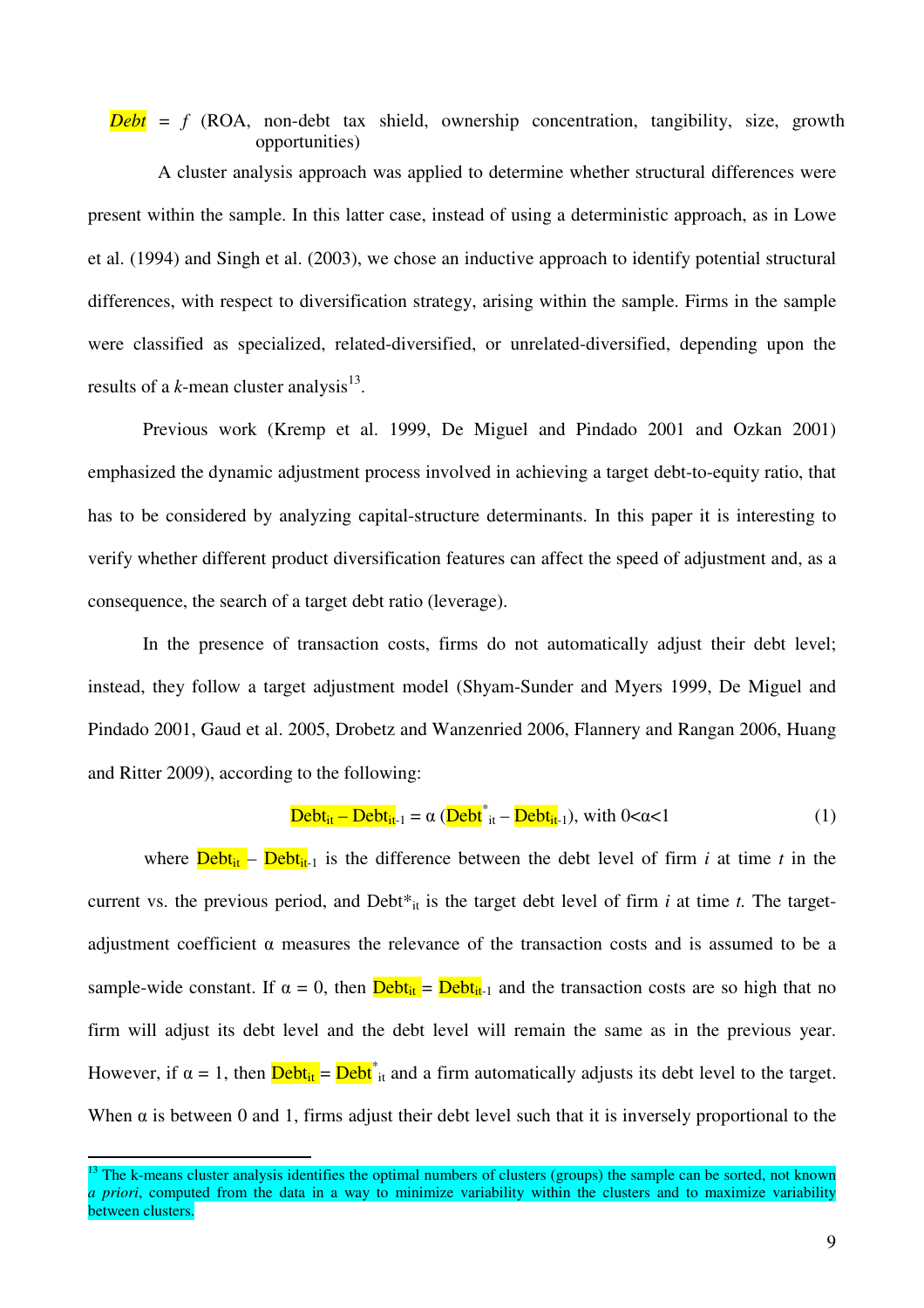## $Debt = f (ROA, non-debt tax shield, ownership concentration, tangibility, size, growth)$ opportunities)

 A cluster analysis approach was applied to determine whether structural differences were present within the sample. In this latter case, instead of using a deterministic approach, as in Lowe et al. (1994) and Singh et al. (2003), we chose an inductive approach to identify potential structural differences, with respect to diversification strategy, arising within the sample. Firms in the sample were classified as specialized, related-diversified, or unrelated-diversified, depending upon the results of a  $k$ -mean cluster analysis<sup>13</sup>.

Previous work (Kremp et al. 1999, De Miguel and Pindado 2001 and Ozkan 2001) emphasized the dynamic adjustment process involved in achieving a target debt-to-equity ratio, that has to be considered by analyzing capital-structure determinants. In this paper it is interesting to verify whether different product diversification features can affect the speed of adjustment and, as a consequence, the search of a target debt ratio (leverage).

In the presence of transaction costs, firms do not automatically adjust their debt level; instead, they follow a target adjustment model (Shyam-Sunder and Myers 1999, De Miguel and Pindado 2001, Gaud et al. 2005, Drobetz and Wanzenried 2006, Flannery and Rangan 2006, Huang and Ritter 2009), according to the following:

$$
\underline{\text{Debt}_{it} - \text{Debt}_{it-1}} = \alpha \left( \underline{\text{Debt}}_{it}^* - \underline{\text{Debt}_{it-1}} \right), \text{ with } 0 < \alpha < 1 \tag{1}
$$

where  $\Delta \text{Pebt}_{i}$  –  $\Delta \text{Pebt}_{i-1}$  is the difference between the debt level of firm *i* at time *t* in the current vs. the previous period, and Debt<sup>\*</sup><sub>it</sub> is the target debt level of firm *i* at time *t*. The targetadjustment coefficient  $\alpha$  measures the relevance of the transaction costs and is assumed to be a sample-wide constant. If  $\alpha = 0$ , then  $\frac{\text{Debt}_{it}}{\text{Debt}_{it-1}}$  and the transaction costs are so high that no firm will adjust its debt level and the debt level will remain the same as in the previous year. However, if  $\alpha = 1$ , then  $\frac{\text{Debt}_{it}}{\text{Debt}^*_{it}}$  and a firm automatically adjusts its debt level to the target. When  $\alpha$  is between 0 and 1, firms adjust their debt level such that it is inversely proportional to the

 $13$  The k-means cluster analysis identifies the optimal numbers of clusters (groups) the sample can be sorted, not known *a priori*, computed from the data in a way to minimize variability within the clusters and to maximize variability between clusters.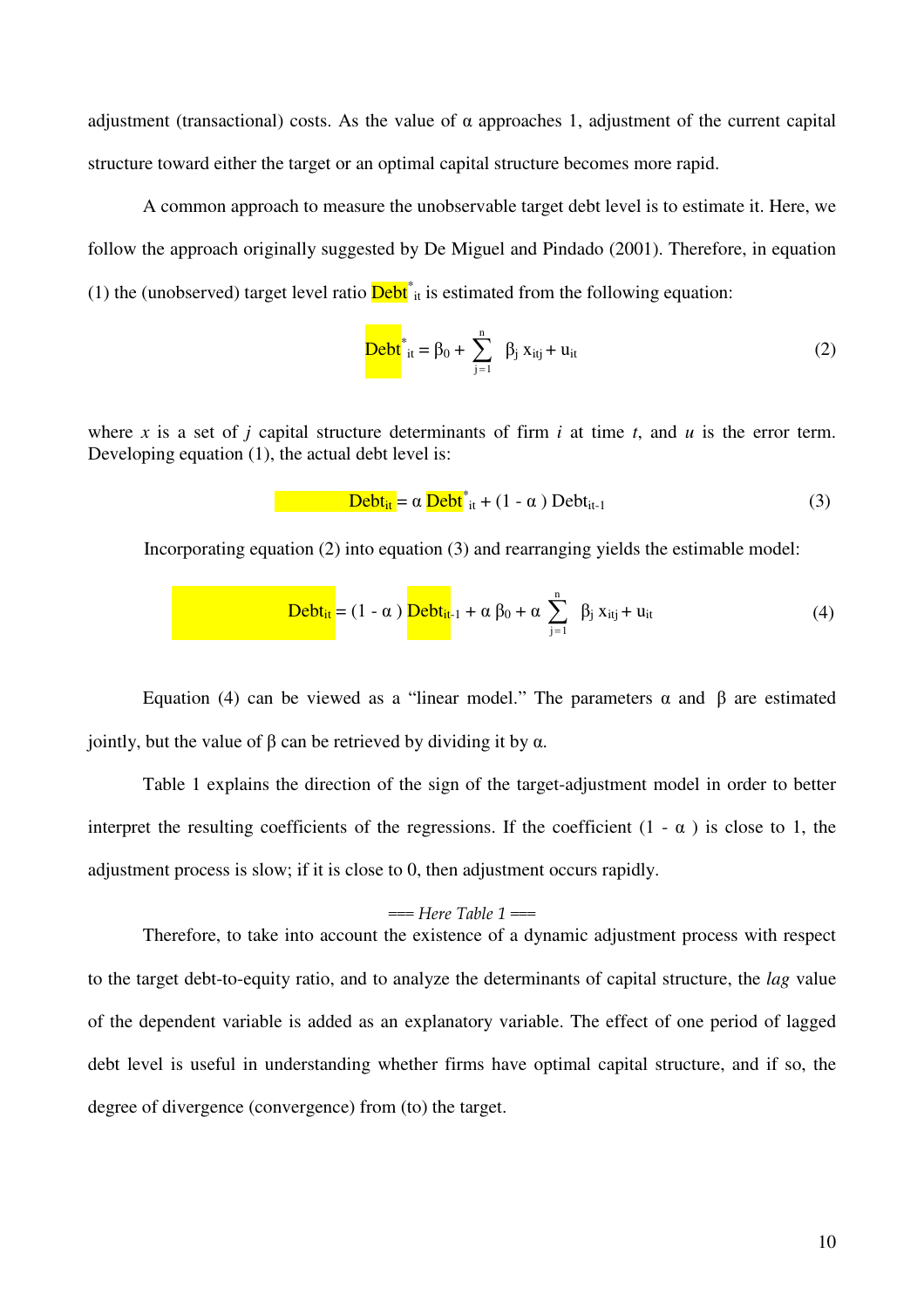adjustment (transactional) costs. As the value of  $\alpha$  approaches 1, adjustment of the current capital structure toward either the target or an optimal capital structure becomes more rapid.

A common approach to measure the unobservable target debt level is to estimate it. Here, we follow the approach originally suggested by De Miguel and Pindado (2001). Therefore, in equation (1) the (unobserved) target level ratio  $\overline{\text{Debt}}^*$  is estimated from the following equation:

$$
Debt*_{it} = \beta_0 + \sum_{j=1}^{n} \beta_j x_{itj} + u_{it}
$$
 (2)

where *x* is a set of *j* capital structure determinants of firm *i* at time *t*, and *u* is the error term. Developing equation (1), the actual debt level is:

 Debtit = α Debt\* it + (1 - α ) Debtit-1 (3)

Incorporating equation (2) into equation (3) and rearranging yields the estimable model:

$$
Debt_{it} = (1 - \alpha) \frac{Debt_{it}}{}
$$

Equation (4) can be viewed as a "linear model." The parameters  $\alpha$  and  $\beta$  are estimated jointly, but the value of β can be retrieved by dividing it by α.

Table 1 explains the direction of the sign of the target-adjustment model in order to better interpret the resulting coefficients of the regressions. If the coefficient  $(1 - \alpha)$  is close to 1, the adjustment process is slow; if it is close to 0, then adjustment occurs rapidly.

#### $==$  Here Table 1  $==$

Therefore, to take into account the existence of a dynamic adjustment process with respect to the target debt-to-equity ratio, and to analyze the determinants of capital structure, the *lag* value of the dependent variable is added as an explanatory variable. The effect of one period of lagged debt level is useful in understanding whether firms have optimal capital structure, and if so, the degree of divergence (convergence) from (to) the target.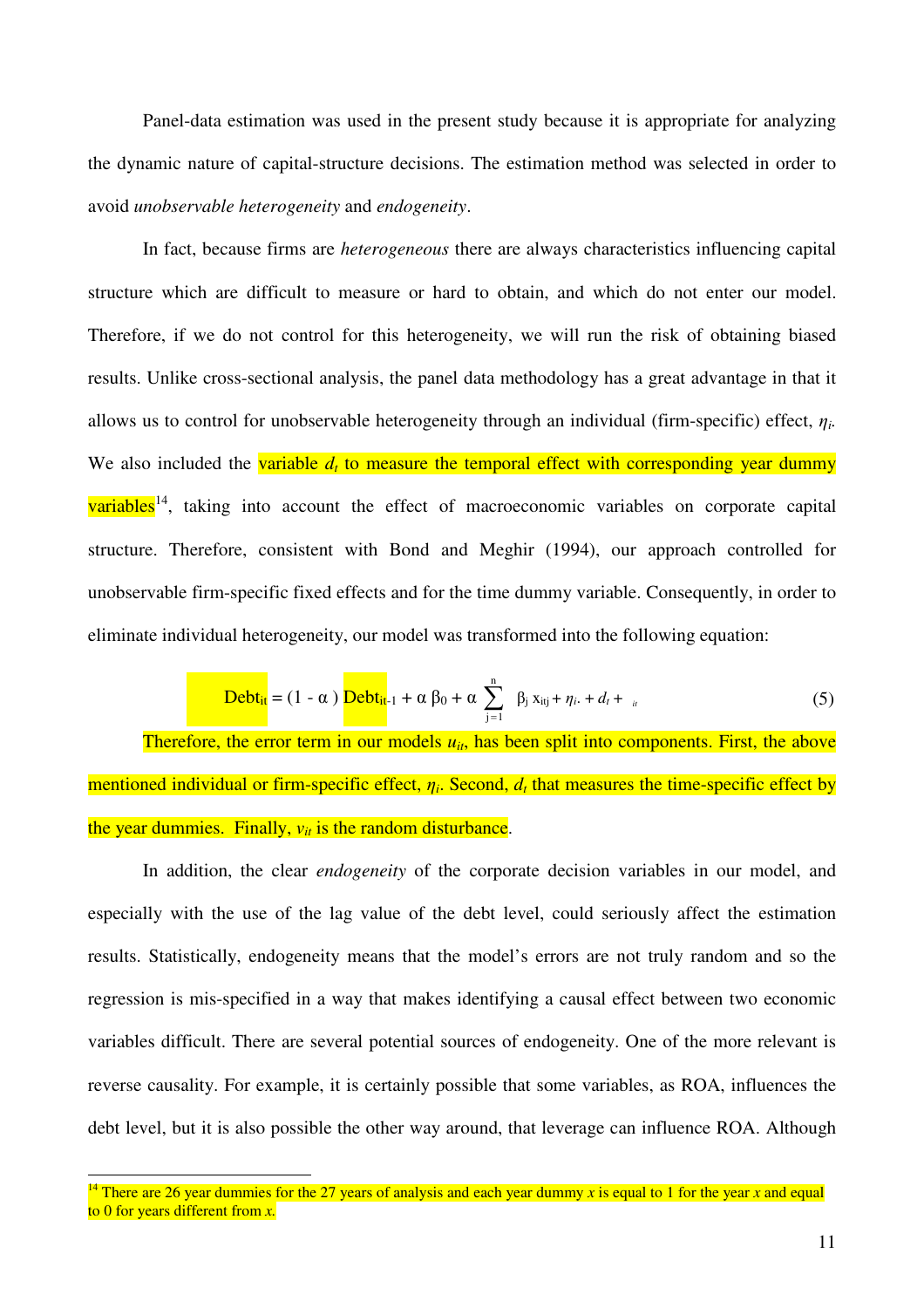Panel-data estimation was used in the present study because it is appropriate for analyzing the dynamic nature of capital-structure decisions. The estimation method was selected in order to avoid *unobservable heterogeneity* and *endogeneity*.

 In fact, because firms are *heterogeneous* there are always characteristics influencing capital structure which are difficult to measure or hard to obtain, and which do not enter our model. Therefore, if we do not control for this heterogeneity, we will run the risk of obtaining biased results. Unlike cross-sectional analysis, the panel data methodology has a great advantage in that it allows us to control for unobservable heterogeneity through an individual (firm-specific) effect,  $\eta_i$ . We also included the variable  $d_t$  to measure the temporal effect with corresponding year dummy variables<sup>14</sup>, taking into account the effect of macroeconomic variables on corporate capital structure. Therefore, consistent with Bond and Meghir (1994), our approach controlled for unobservable firm-specific fixed effects and for the time dummy variable. Consequently, in order to eliminate individual heterogeneity, our model was transformed into the following equation:

$$
\underline{\mathbf{Debt}_{it}} = (1 - \alpha) \underline{\mathbf{Debt}_{it}}_{-1} + \alpha \beta_0 + \alpha \sum_{j=1}^{n} \beta_j x_{itj} + \eta_{i} + d_t + \eta_{i}
$$
 (5)

Therefore, the error term in our models  $u_{it}$ , has been split into components. First, the above mentioned individual or firm-specific effect, η*<sup>i</sup>* . Second, *d<sup>t</sup>* that measures the time-specific effect by the year dummies. Finally,  $v_{it}$  is the random disturbance.

 In addition, the clear *endogeneity* of the corporate decision variables in our model, and especially with the use of the lag value of the debt level, could seriously affect the estimation results. Statistically, endogeneity means that the model's errors are not truly random and so the regression is mis-specified in a way that makes identifying a causal effect between two economic variables difficult. There are several potential sources of endogeneity. One of the more relevant is reverse causality. For example, it is certainly possible that some variables, as ROA, influences the debt level, but it is also possible the other way around, that leverage can influence ROA. Although

<sup>&</sup>lt;sup>14</sup> There are 26 year dummies for the 27 years of analysis and each year dummy x is equal to 1 for the year x and equal to 0 for years different from *x.*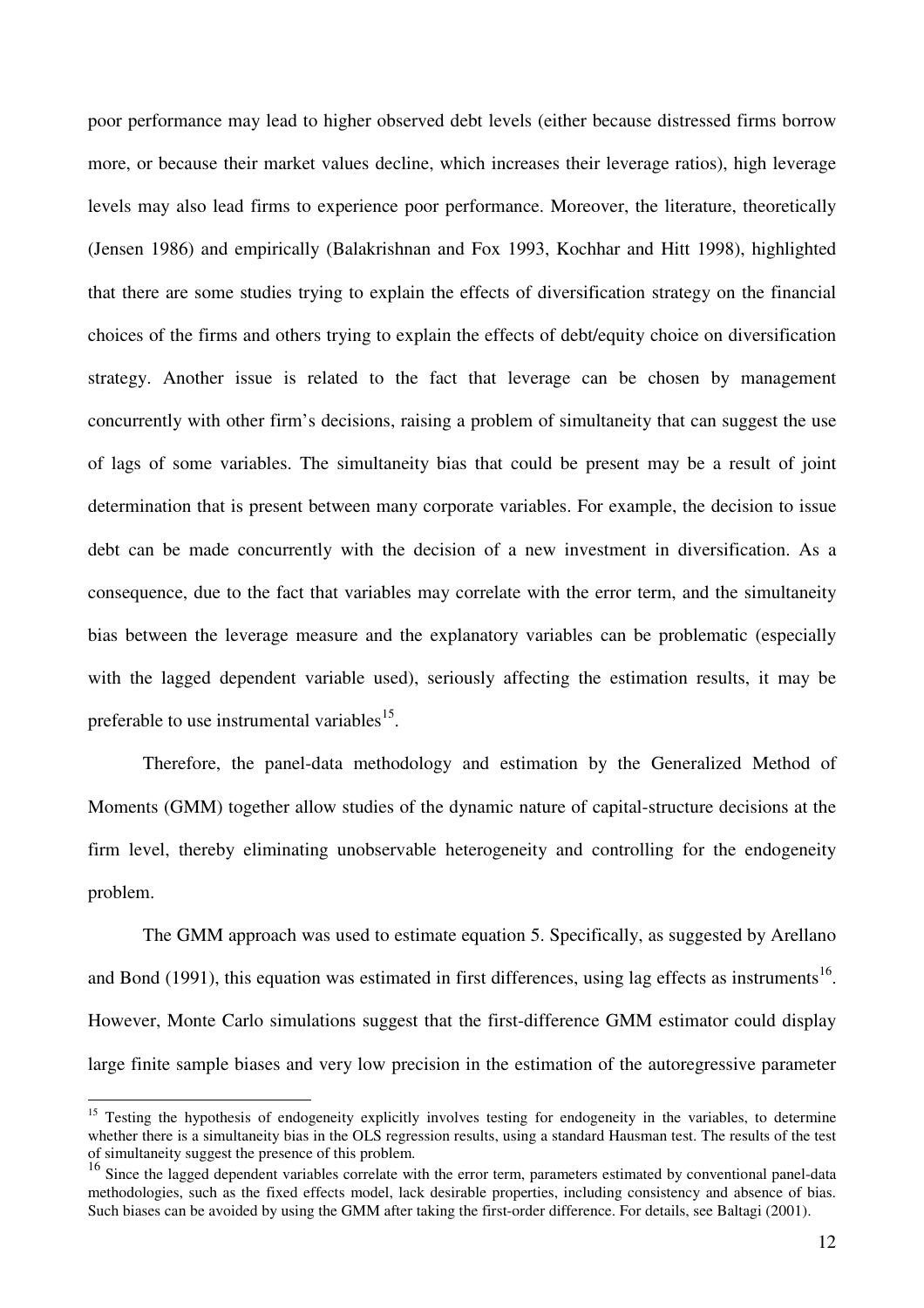poor performance may lead to higher observed debt levels (either because distressed firms borrow more, or because their market values decline, which increases their leverage ratios), high leverage levels may also lead firms to experience poor performance. Moreover, the literature, theoretically (Jensen 1986) and empirically (Balakrishnan and Fox 1993, Kochhar and Hitt 1998), highlighted that there are some studies trying to explain the effects of diversification strategy on the financial choices of the firms and others trying to explain the effects of debt/equity choice on diversification strategy. Another issue is related to the fact that leverage can be chosen by management concurrently with other firm's decisions, raising a problem of simultaneity that can suggest the use of lags of some variables. The simultaneity bias that could be present may be a result of joint determination that is present between many corporate variables. For example, the decision to issue debt can be made concurrently with the decision of a new investment in diversification. As a consequence, due to the fact that variables may correlate with the error term, and the simultaneity bias between the leverage measure and the explanatory variables can be problematic (especially with the lagged dependent variable used), seriously affecting the estimation results, it may be preferable to use instrumental variables<sup>15</sup>.

Therefore, the panel-data methodology and estimation by the Generalized Method of Moments (GMM) together allow studies of the dynamic nature of capital-structure decisions at the firm level, thereby eliminating unobservable heterogeneity and controlling for the endogeneity problem.

 The GMM approach was used to estimate equation 5. Specifically, as suggested by Arellano and Bond (1991), this equation was estimated in first differences, using lag effects as instruments<sup>16</sup>. However, Monte Carlo simulations suggest that the first-difference GMM estimator could display large finite sample biases and very low precision in the estimation of the autoregressive parameter

<sup>&</sup>lt;sup>15</sup> Testing the hypothesis of endogeneity explicitly involves testing for endogeneity in the variables, to determine whether there is a simultaneity bias in the OLS regression results, using a standard Hausman test. The results of the test of simultaneity suggest the presence of this problem.

<sup>&</sup>lt;sup>16</sup> Since the lagged dependent variables correlate with the error term, parameters estimated by conventional panel-data methodologies, such as the fixed effects model, lack desirable properties, including consistency and absence of bias. Such biases can be avoided by using the GMM after taking the first-order difference. For details, see Baltagi (2001).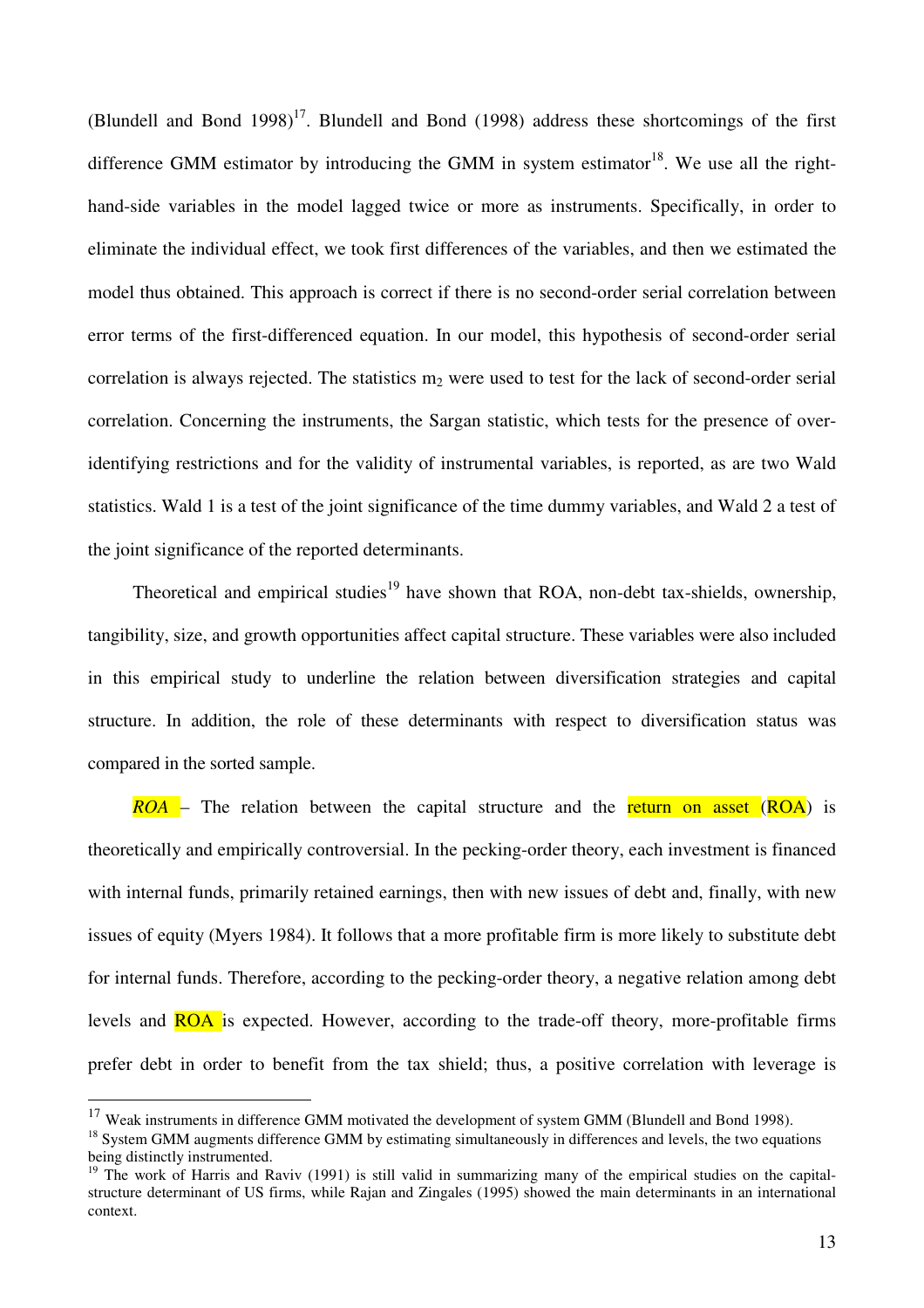(Blundell and Bond 1998)<sup>17</sup>. Blundell and Bond (1998) address these shortcomings of the first difference GMM estimator by introducing the GMM in system estimator<sup>18</sup>. We use all the righthand-side variables in the model lagged twice or more as instruments. Specifically, in order to eliminate the individual effect, we took first differences of the variables, and then we estimated the model thus obtained. This approach is correct if there is no second-order serial correlation between error terms of the first-differenced equation. In our model, this hypothesis of second-order serial correlation is always rejected. The statistics  $m_2$  were used to test for the lack of second-order serial correlation. Concerning the instruments, the Sargan statistic, which tests for the presence of overidentifying restrictions and for the validity of instrumental variables, is reported, as are two Wald statistics. Wald 1 is a test of the joint significance of the time dummy variables, and Wald 2 a test of the joint significance of the reported determinants.

Theoretical and empirical studies<sup>19</sup> have shown that ROA, non-debt tax-shields, ownership, tangibility, size, and growth opportunities affect capital structure. These variables were also included in this empirical study to underline the relation between diversification strategies and capital structure. In addition, the role of these determinants with respect to diversification status was compared in the sorted sample.

*ROA* – The relation between the capital structure and the return on asset (ROA) is theoretically and empirically controversial. In the pecking-order theory, each investment is financed with internal funds, primarily retained earnings, then with new issues of debt and, finally, with new issues of equity (Myers 1984). It follows that a more profitable firm is more likely to substitute debt for internal funds. Therefore, according to the pecking-order theory, a negative relation among debt levels and ROA is expected. However, according to the trade-off theory, more-profitable firms prefer debt in order to benefit from the tax shield; thus, a positive correlation with leverage is

<sup>&</sup>lt;sup>17</sup> Weak instruments in difference GMM motivated the development of system GMM (Blundell and Bond 1998).

<sup>&</sup>lt;sup>18</sup> System GMM augments difference GMM by estimating simultaneously in differences and levels, the two equations being distinctly instrumented.

 $19$  The work of Harris and Raviv (1991) is still valid in summarizing many of the empirical studies on the capitalstructure determinant of US firms, while Rajan and Zingales (1995) showed the main determinants in an international context.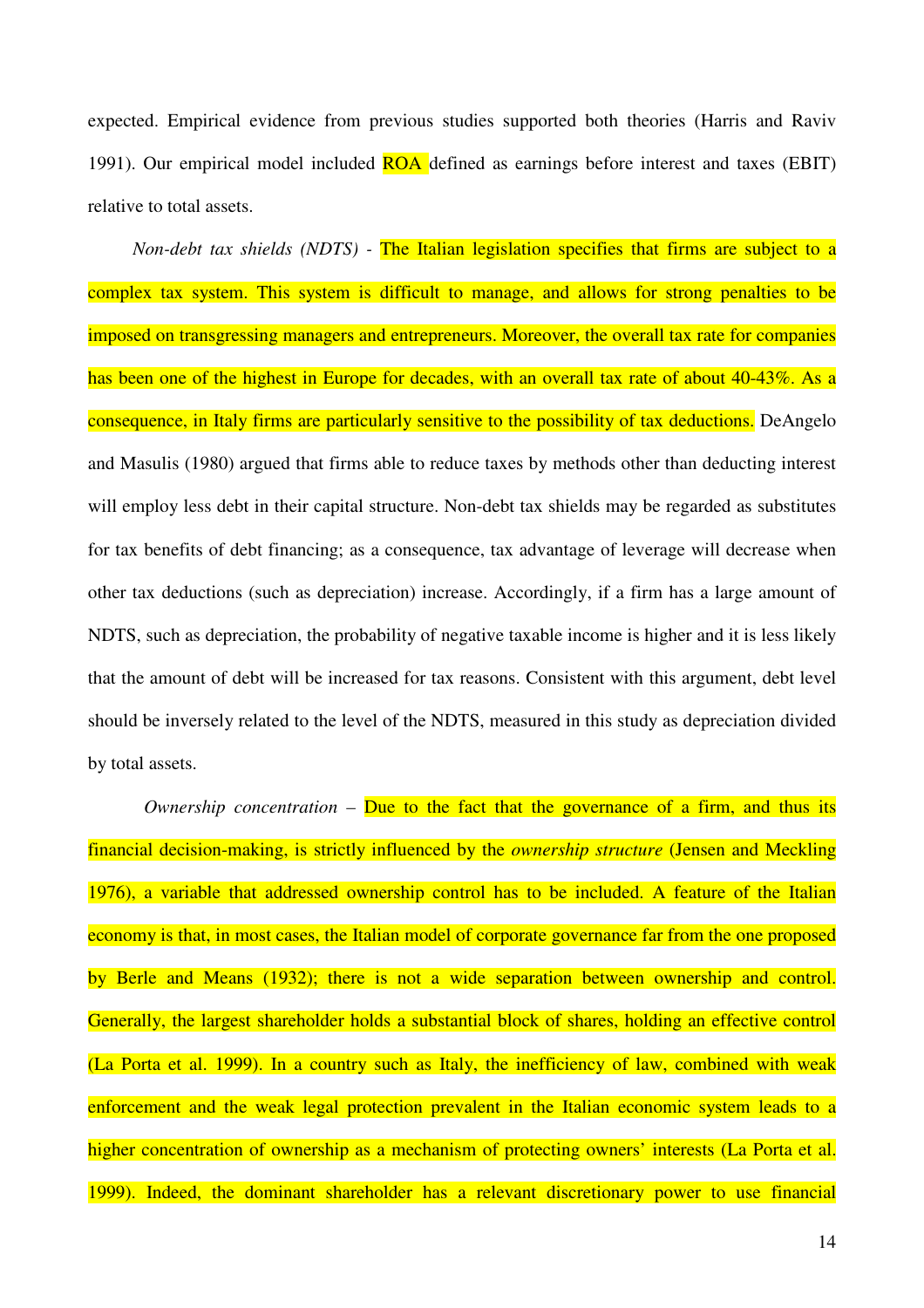expected. Empirical evidence from previous studies supported both theories (Harris and Raviv 1991). Our empirical model included **ROA** defined as earnings before interest and taxes (EBIT) relative to total assets.

*Non-debt tax shields (NDTS) -* The Italian legislation specifies that firms are subject to a complex tax system. This system is difficult to manage, and allows for strong penalties to be imposed on transgressing managers and entrepreneurs. Moreover, the overall tax rate for companies has been one of the highest in Europe for decades, with an overall tax rate of about 40-43%. As a consequence, in Italy firms are particularly sensitive to the possibility of tax deductions. DeAngelo and Masulis (1980) argued that firms able to reduce taxes by methods other than deducting interest will employ less debt in their capital structure. Non-debt tax shields may be regarded as substitutes for tax benefits of debt financing; as a consequence, tax advantage of leverage will decrease when other tax deductions (such as depreciation) increase. Accordingly, if a firm has a large amount of NDTS, such as depreciation, the probability of negative taxable income is higher and it is less likely that the amount of debt will be increased for tax reasons. Consistent with this argument, debt level should be inversely related to the level of the NDTS, measured in this study as depreciation divided by total assets.

*Ownership concentration –* Due to the fact that the governance of a firm, and thus its financial decision-making, is strictly influenced by the *ownership structure* (Jensen and Meckling 1976), a variable that addressed ownership control has to be included. A feature of the Italian economy is that, in most cases, the Italian model of corporate governance far from the one proposed by Berle and Means (1932); there is not a wide separation between ownership and control. Generally, the largest shareholder holds a substantial block of shares, holding an effective control (La Porta et al. 1999). In a country such as Italy, the inefficiency of law, combined with weak enforcement and the weak legal protection prevalent in the Italian economic system leads to a higher concentration of ownership as a mechanism of protecting owners' interests (La Porta et al. 1999). Indeed, the dominant shareholder has a relevant discretionary power to use financial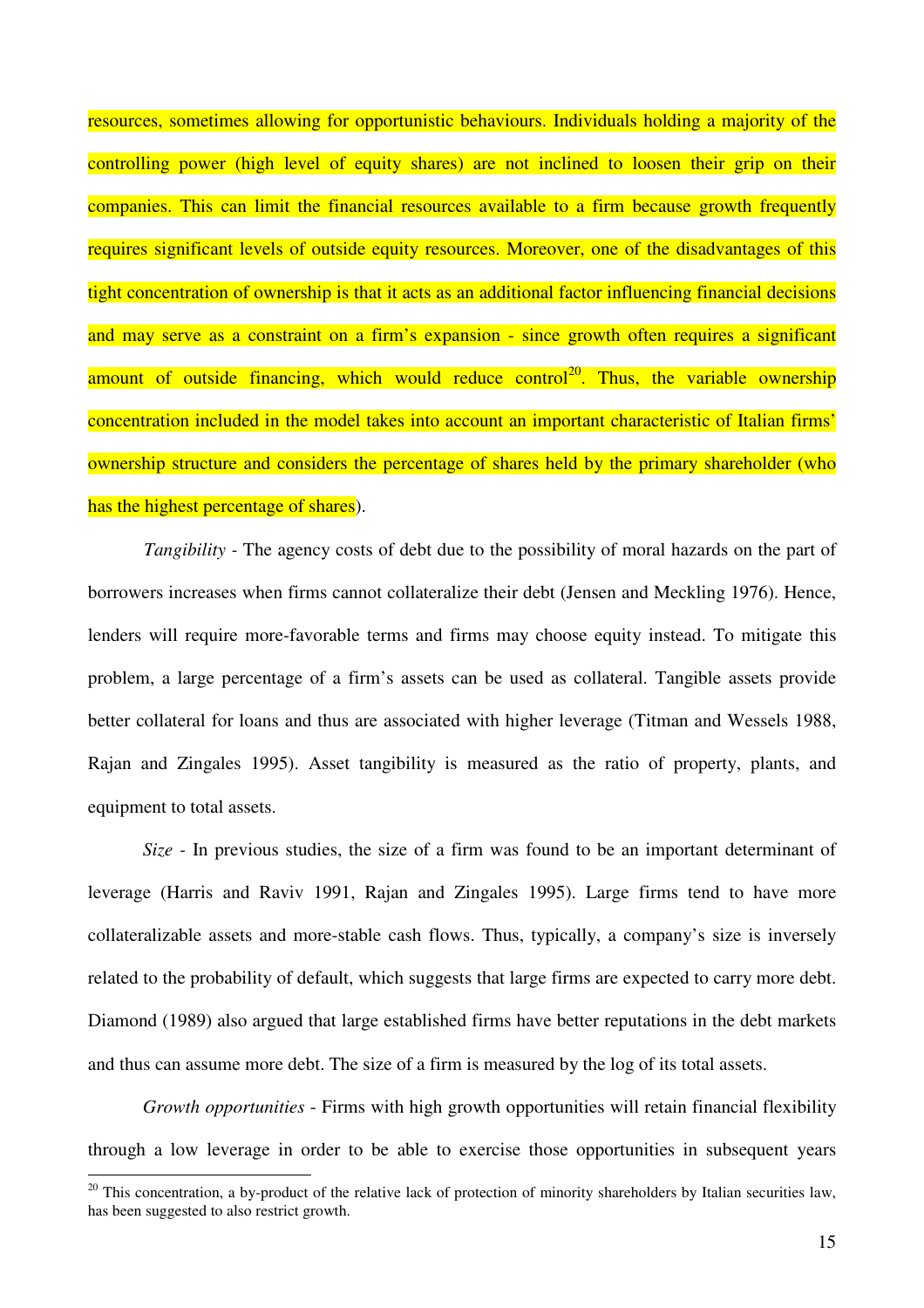resources, sometimes allowing for opportunistic behaviours. Individuals holding a majority of the controlling power (high level of equity shares) are not inclined to loosen their grip on their companies. This can limit the financial resources available to a firm because growth frequently requires significant levels of outside equity resources. Moreover, one of the disadvantages of this tight concentration of ownership is that it acts as an additional factor influencing financial decisions and may serve as a constraint on a firm's expansion - since growth often requires a significant amount of outside financing, which would reduce control<sup>20</sup>. Thus, the variable ownership concentration included in the model takes into account an important characteristic of Italian firms' ownership structure and considers the percentage of shares held by the primary shareholder (who has the highest percentage of shares).

*Tangibility* - The agency costs of debt due to the possibility of moral hazards on the part of borrowers increases when firms cannot collateralize their debt (Jensen and Meckling 1976). Hence, lenders will require more-favorable terms and firms may choose equity instead. To mitigate this problem, a large percentage of a firm's assets can be used as collateral. Tangible assets provide better collateral for loans and thus are associated with higher leverage (Titman and Wessels 1988, Rajan and Zingales 1995). Asset tangibility is measured as the ratio of property, plants, and equipment to total assets.

*Size -* In previous studies, the size of a firm was found to be an important determinant of leverage (Harris and Raviv 1991, Rajan and Zingales 1995). Large firms tend to have more collateralizable assets and more-stable cash flows. Thus, typically, a company's size is inversely related to the probability of default, which suggests that large firms are expected to carry more debt. Diamond (1989) also argued that large established firms have better reputations in the debt markets and thus can assume more debt. The size of a firm is measured by the log of its total assets.

*Growth opportunities* - Firms with high growth opportunities will retain financial flexibility through a low leverage in order to be able to exercise those opportunities in subsequent years

 $20$  This concentration, a by-product of the relative lack of protection of minority shareholders by Italian securities law, has been suggested to also restrict growth.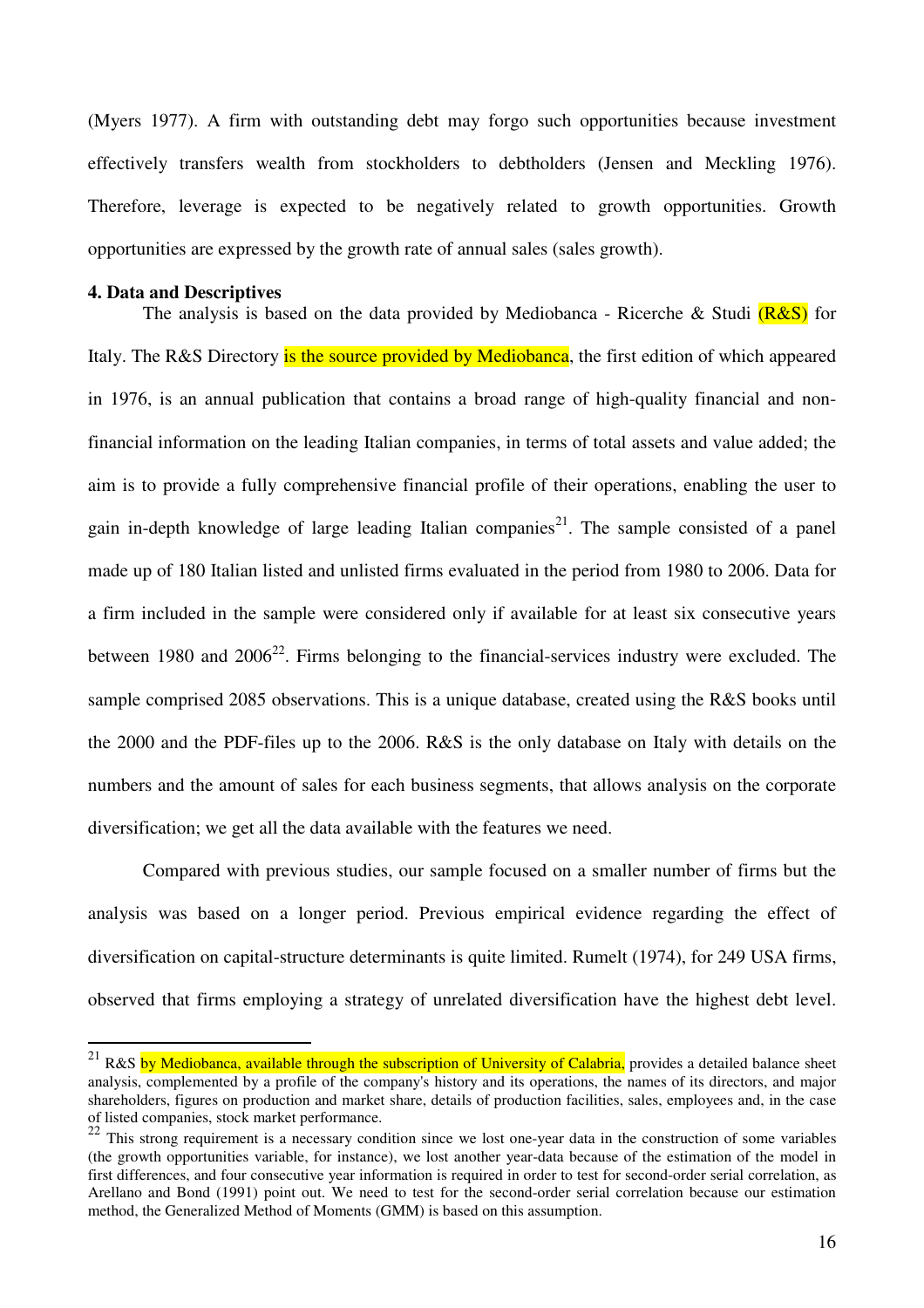(Myers 1977). A firm with outstanding debt may forgo such opportunities because investment effectively transfers wealth from stockholders to debtholders (Jensen and Meckling 1976). Therefore, leverage is expected to be negatively related to growth opportunities. Growth opportunities are expressed by the growth rate of annual sales (sales growth).

#### **4. Data and Descriptives**

 $\overline{a}$ 

The analysis is based on the data provided by Mediobanca - Ricerche & Studi  $(R & S)$  for Italy. The R&S Directory is the source provided by Mediobanca, the first edition of which appeared in 1976, is an annual publication that contains a broad range of high-quality financial and nonfinancial information on the leading Italian companies, in terms of total assets and value added; the aim is to provide a fully comprehensive financial profile of their operations, enabling the user to gain in-depth knowledge of large leading Italian companies<sup>21</sup>. The sample consisted of a panel made up of 180 Italian listed and unlisted firms evaluated in the period from 1980 to 2006. Data for a firm included in the sample were considered only if available for at least six consecutive years between 1980 and  $2006^{22}$ . Firms belonging to the financial-services industry were excluded. The sample comprised 2085 observations. This is a unique database, created using the R&S books until the 2000 and the PDF-files up to the 2006. R&S is the only database on Italy with details on the numbers and the amount of sales for each business segments, that allows analysis on the corporate diversification; we get all the data available with the features we need.

Compared with previous studies, our sample focused on a smaller number of firms but the analysis was based on a longer period. Previous empirical evidence regarding the effect of diversification on capital-structure determinants is quite limited. Rumelt (1974), for 249 USA firms, observed that firms employing a strategy of unrelated diversification have the highest debt level.

<sup>&</sup>lt;sup>21</sup> R&S by Mediobanca, available through the subscription of University of Calabria, provides a detailed balance sheet analysis, complemented by a profile of the company's history and its operations, the names of its directors, and major shareholders, figures on production and market share, details of production facilities, sales, employees and, in the case of listed companies, stock market performance.

 $22$  This strong requirement is a necessary condition since we lost one-year data in the construction of some variables (the growth opportunities variable, for instance), we lost another year-data because of the estimation of the model in first differences, and four consecutive year information is required in order to test for second-order serial correlation, as Arellano and Bond (1991) point out. We need to test for the second-order serial correlation because our estimation method, the Generalized Method of Moments (GMM) is based on this assumption.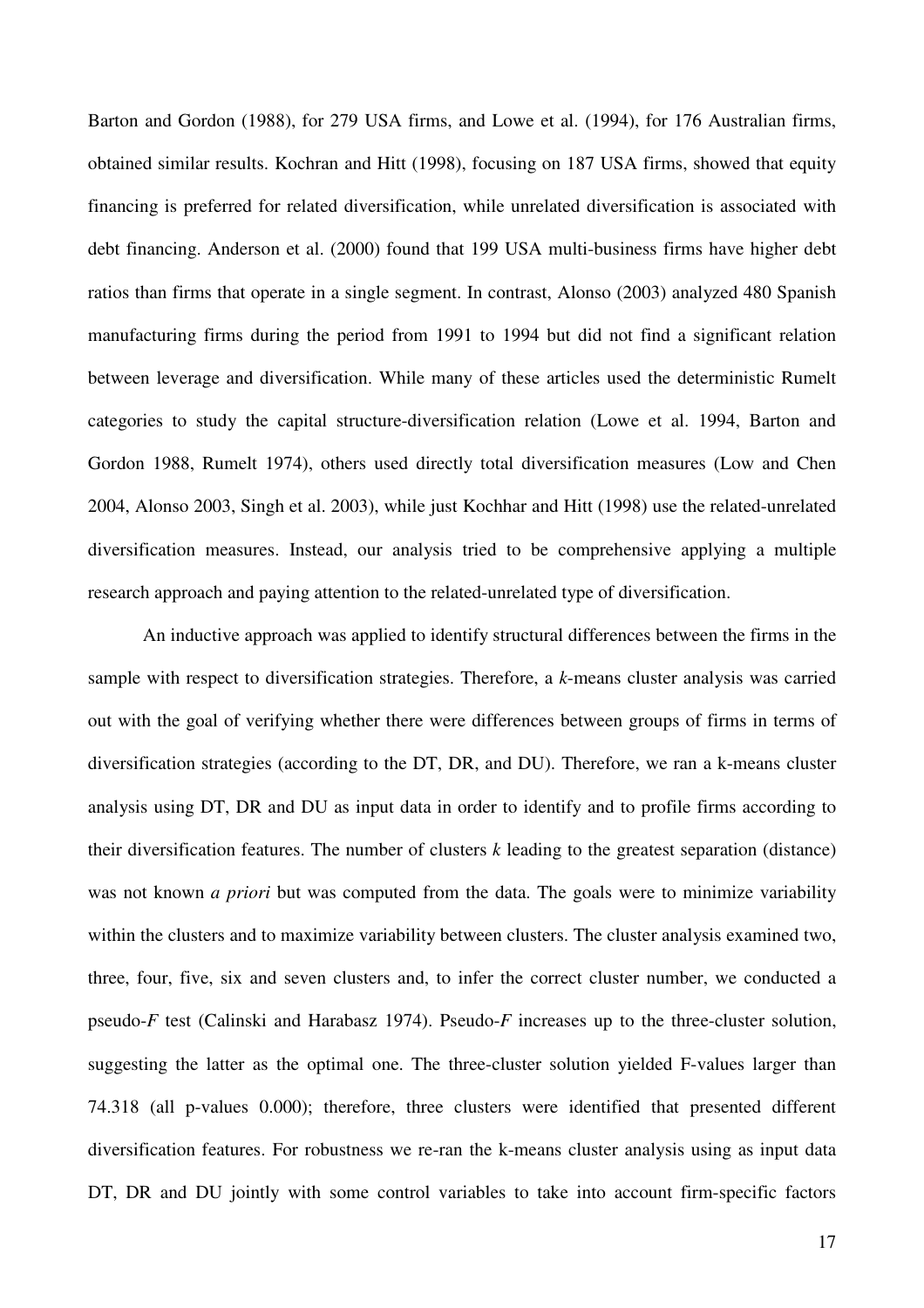Barton and Gordon (1988), for 279 USA firms, and Lowe et al. (1994), for 176 Australian firms, obtained similar results. Kochran and Hitt (1998), focusing on 187 USA firms, showed that equity financing is preferred for related diversification, while unrelated diversification is associated with debt financing. Anderson et al. (2000) found that 199 USA multi-business firms have higher debt ratios than firms that operate in a single segment. In contrast, Alonso (2003) analyzed 480 Spanish manufacturing firms during the period from 1991 to 1994 but did not find a significant relation between leverage and diversification. While many of these articles used the deterministic Rumelt categories to study the capital structure-diversification relation (Lowe et al. 1994, Barton and Gordon 1988, Rumelt 1974), others used directly total diversification measures (Low and Chen 2004, Alonso 2003, Singh et al. 2003), while just Kochhar and Hitt (1998) use the related-unrelated diversification measures. Instead, our analysis tried to be comprehensive applying a multiple research approach and paying attention to the related-unrelated type of diversification.

An inductive approach was applied to identify structural differences between the firms in the sample with respect to diversification strategies. Therefore, a *k*-means cluster analysis was carried out with the goal of verifying whether there were differences between groups of firms in terms of diversification strategies (according to the DT, DR, and DU). Therefore, we ran a k-means cluster analysis using DT, DR and DU as input data in order to identify and to profile firms according to their diversification features. The number of clusters *k* leading to the greatest separation (distance) was not known *a priori* but was computed from the data. The goals were to minimize variability within the clusters and to maximize variability between clusters. The cluster analysis examined two, three, four, five, six and seven clusters and, to infer the correct cluster number, we conducted a pseudo-*F* test (Calinski and Harabasz 1974). Pseudo-*F* increases up to the three-cluster solution, suggesting the latter as the optimal one. The three-cluster solution yielded F-values larger than 74.318 (all p-values 0.000); therefore, three clusters were identified that presented different diversification features. For robustness we re-ran the k-means cluster analysis using as input data DT, DR and DU jointly with some control variables to take into account firm-specific factors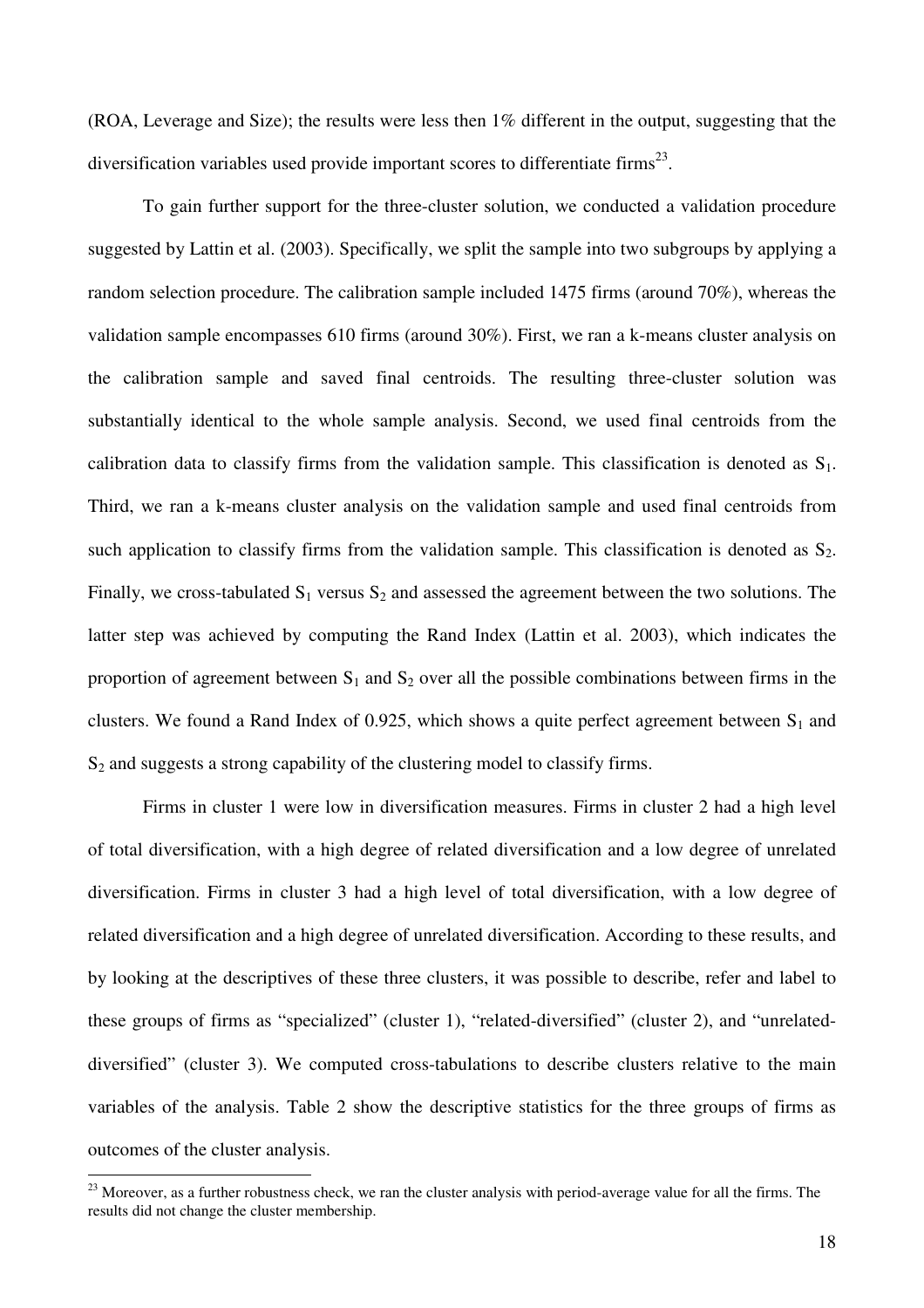(ROA, Leverage and Size); the results were less then 1% different in the output, suggesting that the diversification variables used provide important scores to differentiate firms<sup>23</sup>.

To gain further support for the three-cluster solution, we conducted a validation procedure suggested by Lattin et al. (2003). Specifically, we split the sample into two subgroups by applying a random selection procedure. The calibration sample included 1475 firms (around 70%), whereas the validation sample encompasses 610 firms (around 30%). First, we ran a k-means cluster analysis on the calibration sample and saved final centroids. The resulting three-cluster solution was substantially identical to the whole sample analysis. Second, we used final centroids from the calibration data to classify firms from the validation sample. This classification is denoted as  $S_1$ . Third, we ran a k-means cluster analysis on the validation sample and used final centroids from such application to classify firms from the validation sample. This classification is denoted as  $S_2$ . Finally, we cross-tabulated  $S_1$  versus  $S_2$  and assessed the agreement between the two solutions. The latter step was achieved by computing the Rand Index (Lattin et al. 2003), which indicates the proportion of agreement between  $S_1$  and  $S_2$  over all the possible combinations between firms in the clusters. We found a Rand Index of 0.925, which shows a quite perfect agreement between  $S_1$  and S<sub>2</sub> and suggests a strong capability of the clustering model to classify firms.

Firms in cluster 1 were low in diversification measures. Firms in cluster 2 had a high level of total diversification, with a high degree of related diversification and a low degree of unrelated diversification. Firms in cluster 3 had a high level of total diversification, with a low degree of related diversification and a high degree of unrelated diversification. According to these results, and by looking at the descriptives of these three clusters, it was possible to describe, refer and label to these groups of firms as "specialized" (cluster 1), "related-diversified" (cluster 2), and "unrelateddiversified" (cluster 3). We computed cross-tabulations to describe clusters relative to the main variables of the analysis. Table 2 show the descriptive statistics for the three groups of firms as outcomes of the cluster analysis.

 $2<sup>23</sup>$  Moreover, as a further robustness check, we ran the cluster analysis with period-average value for all the firms. The results did not change the cluster membership.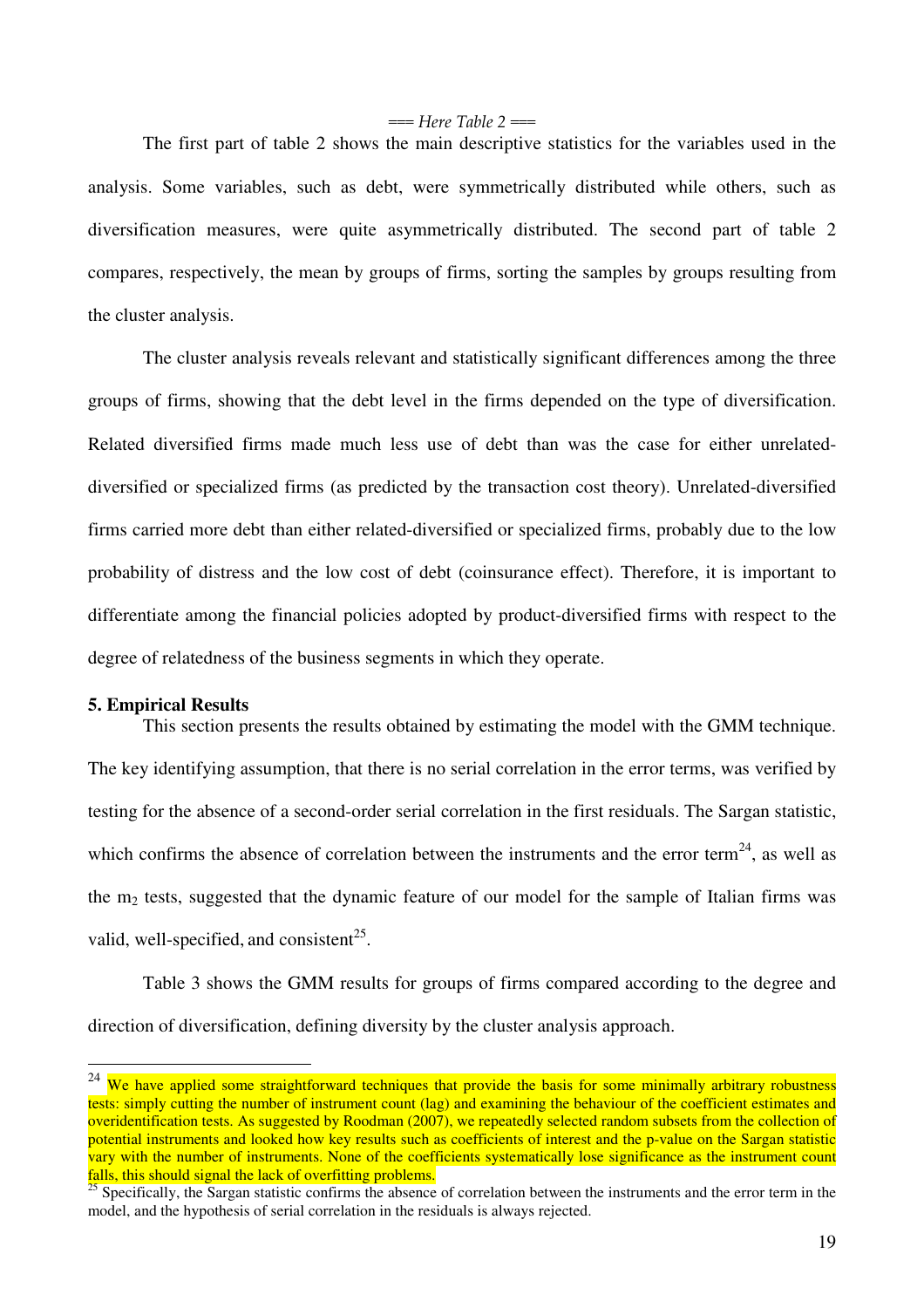#### $==$  Here Table 2  $==$

The first part of table 2 shows the main descriptive statistics for the variables used in the analysis. Some variables, such as debt, were symmetrically distributed while others, such as diversification measures, were quite asymmetrically distributed. The second part of table 2 compares, respectively, the mean by groups of firms, sorting the samples by groups resulting from the cluster analysis.

The cluster analysis reveals relevant and statistically significant differences among the three groups of firms, showing that the debt level in the firms depended on the type of diversification. Related diversified firms made much less use of debt than was the case for either unrelateddiversified or specialized firms (as predicted by the transaction cost theory). Unrelated-diversified firms carried more debt than either related-diversified or specialized firms, probably due to the low probability of distress and the low cost of debt (coinsurance effect). Therefore, it is important to differentiate among the financial policies adopted by product-diversified firms with respect to the degree of relatedness of the business segments in which they operate.

#### **5. Empirical Results**

 $\overline{a}$ 

This section presents the results obtained by estimating the model with the GMM technique. The key identifying assumption, that there is no serial correlation in the error terms, was verified by testing for the absence of a second-order serial correlation in the first residuals. The Sargan statistic, which confirms the absence of correlation between the instruments and the error term<sup>24</sup>, as well as the  $m<sub>2</sub>$  tests, suggested that the dynamic feature of our model for the sample of Italian firms was valid, well-specified, and consistent<sup>25</sup>.

Table 3 shows the GMM results for groups of firms compared according to the degree and direction of diversification, defining diversity by the cluster analysis approach.

 $24$  We have applied some straightforward techniques that provide the basis for some minimally arbitrary robustness tests: simply cutting the number of instrument count (lag) and examining the behaviour of the coefficient estimates and overidentification tests. As suggested by Roodman (2007), we repeatedly selected random subsets from the collection of potential instruments and looked how key results such as coefficients of interest and the p-value on the Sargan statistic vary with the number of instruments. None of the coefficients systematically lose significance as the instrument count falls, this should signal the lack of overfitting problems.

<sup>&</sup>lt;sup>25</sup> Specifically, the Sargan statistic confirms the absence of correlation between the instruments and the error term in the model, and the hypothesis of serial correlation in the residuals is always rejected.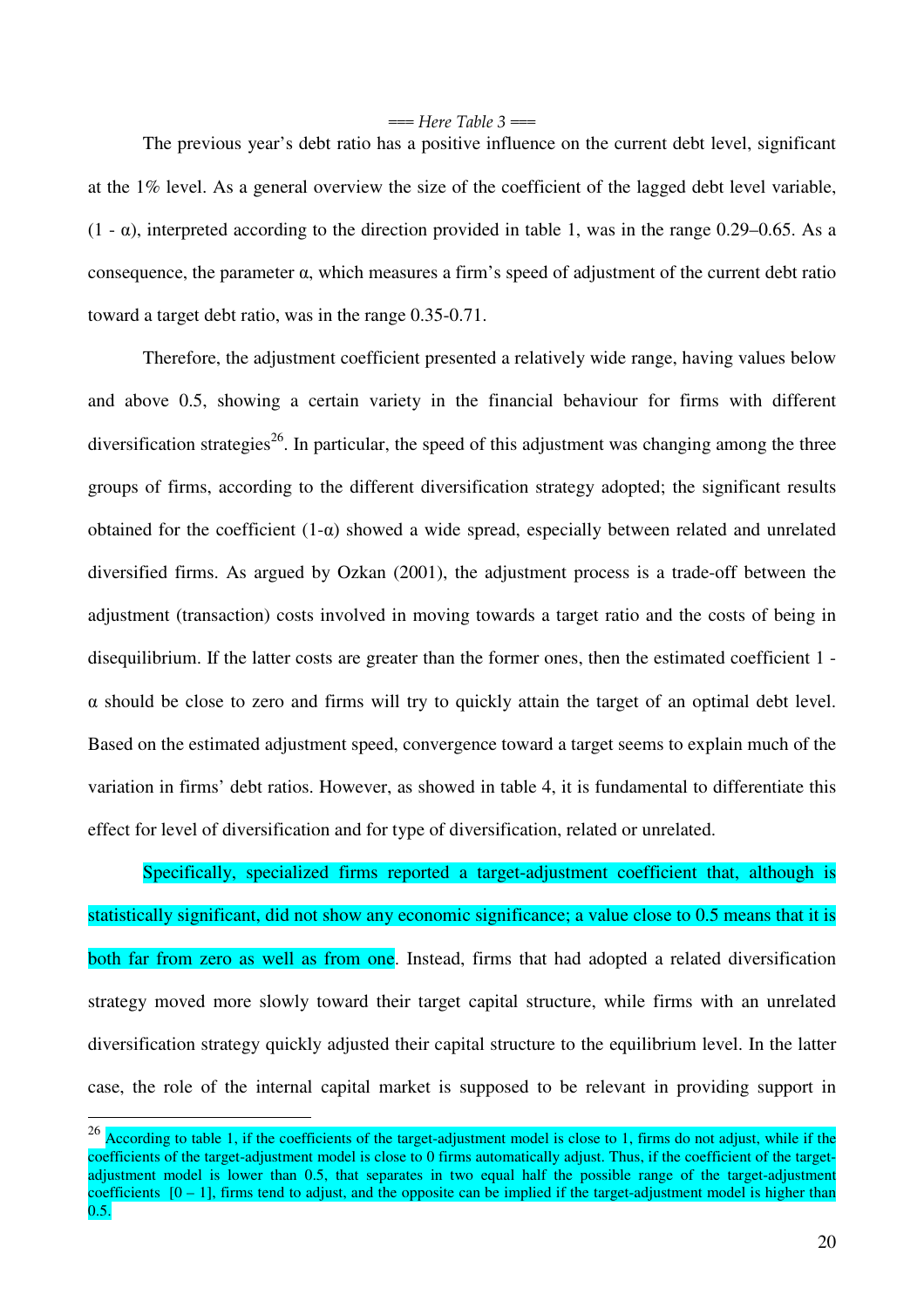$==$  Here Table 3  $==$ 

The previous year's debt ratio has a positive influence on the current debt level, significant at the 1% level. As a general overview the size of the coefficient of the lagged debt level variable,  $(1 - \alpha)$ , interpreted according to the direction provided in table 1, was in the range 0.29–0.65. As a consequence, the parameter α, which measures a firm's speed of adjustment of the current debt ratio toward a target debt ratio, was in the range 0.35-0.71.

Therefore, the adjustment coefficient presented a relatively wide range, having values below and above 0.5, showing a certain variety in the financial behaviour for firms with different diversification strategies<sup>26</sup>. In particular, the speed of this adjustment was changing among the three groups of firms, according to the different diversification strategy adopted; the significant results obtained for the coefficient (1-α) showed a wide spread, especially between related and unrelated diversified firms. As argued by Ozkan (2001), the adjustment process is a trade-off between the adjustment (transaction) costs involved in moving towards a target ratio and the costs of being in disequilibrium. If the latter costs are greater than the former ones, then the estimated coefficient 1 -  $\alpha$  should be close to zero and firms will try to quickly attain the target of an optimal debt level. Based on the estimated adjustment speed, convergence toward a target seems to explain much of the variation in firms' debt ratios. However, as showed in table 4, it is fundamental to differentiate this effect for level of diversification and for type of diversification, related or unrelated.

Specifically, specialized firms reported a target-adjustment coefficient that, although is statistically significant, did not show any economic significance; a value close to 0.5 means that it is both far from zero as well as from one. Instead, firms that had adopted a related diversification strategy moved more slowly toward their target capital structure, while firms with an unrelated diversification strategy quickly adjusted their capital structure to the equilibrium level. In the latter case, the role of the internal capital market is supposed to be relevant in providing support in

 $^{26}$  According to table 1, if the coefficients of the target-adjustment model is close to 1, firms do not adjust, while if the coefficients of the target-adjustment model is close to 0 firms automatically adjust. Thus, if the coefficient of the targetadjustment model is lower than 0.5, that separates in two equal half the possible range of the target-adjustment coefficients  $[0 - 1]$ , firms tend to adjust, and the opposite can be implied if the target-adjustment model is higher than  $0.5.$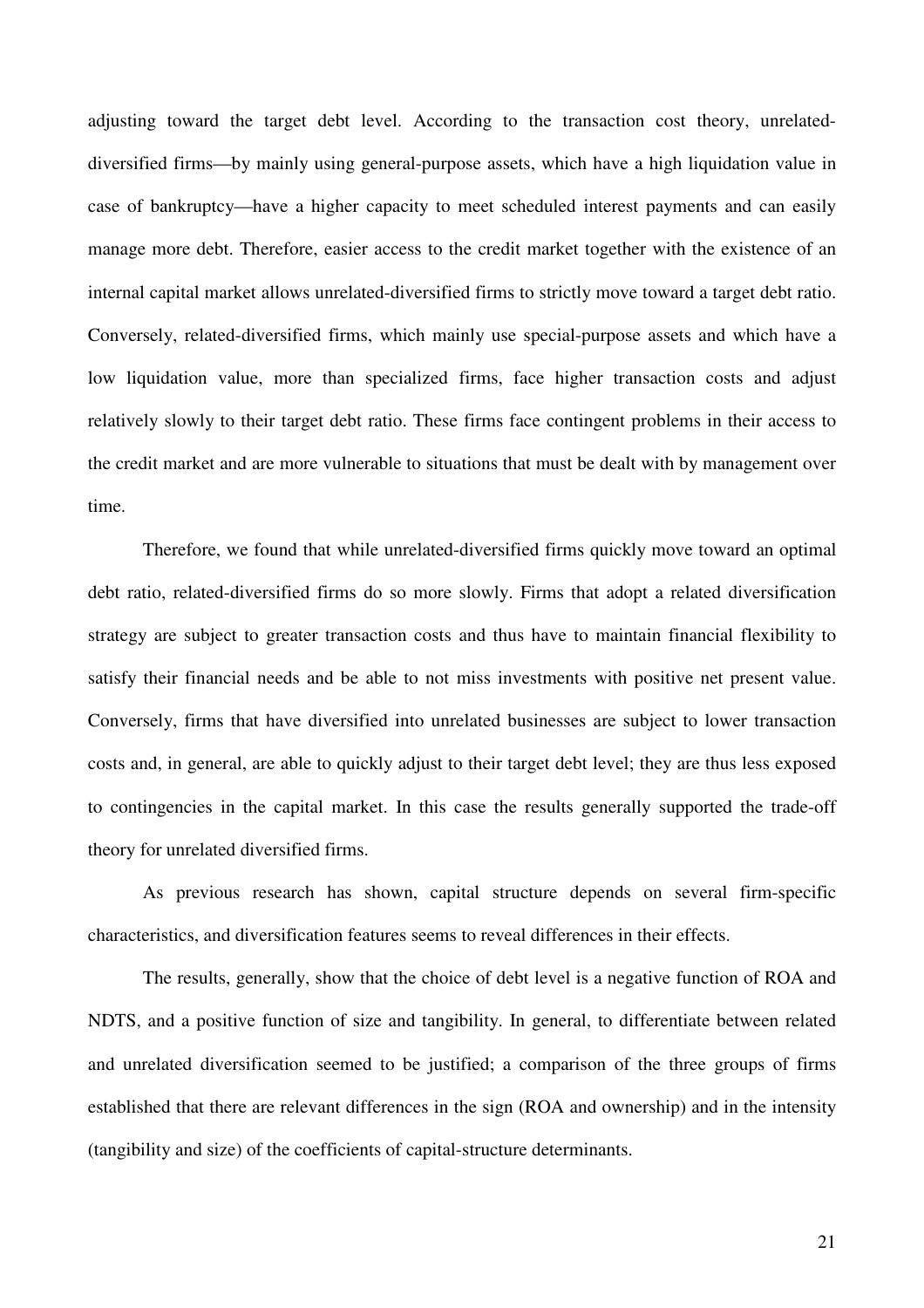adjusting toward the target debt level. According to the transaction cost theory, unrelateddiversified firms—by mainly using general-purpose assets, which have a high liquidation value in case of bankruptcy—have a higher capacity to meet scheduled interest payments and can easily manage more debt. Therefore, easier access to the credit market together with the existence of an internal capital market allows unrelated-diversified firms to strictly move toward a target debt ratio. Conversely, related-diversified firms, which mainly use special-purpose assets and which have a low liquidation value, more than specialized firms, face higher transaction costs and adjust relatively slowly to their target debt ratio. These firms face contingent problems in their access to the credit market and are more vulnerable to situations that must be dealt with by management over time.

Therefore, we found that while unrelated-diversified firms quickly move toward an optimal debt ratio, related-diversified firms do so more slowly. Firms that adopt a related diversification strategy are subject to greater transaction costs and thus have to maintain financial flexibility to satisfy their financial needs and be able to not miss investments with positive net present value. Conversely, firms that have diversified into unrelated businesses are subject to lower transaction costs and, in general, are able to quickly adjust to their target debt level; they are thus less exposed to contingencies in the capital market. In this case the results generally supported the trade-off theory for unrelated diversified firms.

As previous research has shown, capital structure depends on several firm-specific characteristics, and diversification features seems to reveal differences in their effects.

The results, generally, show that the choice of debt level is a negative function of ROA and NDTS, and a positive function of size and tangibility. In general, to differentiate between related and unrelated diversification seemed to be justified; a comparison of the three groups of firms established that there are relevant differences in the sign (ROA and ownership) and in the intensity (tangibility and size) of the coefficients of capital-structure determinants.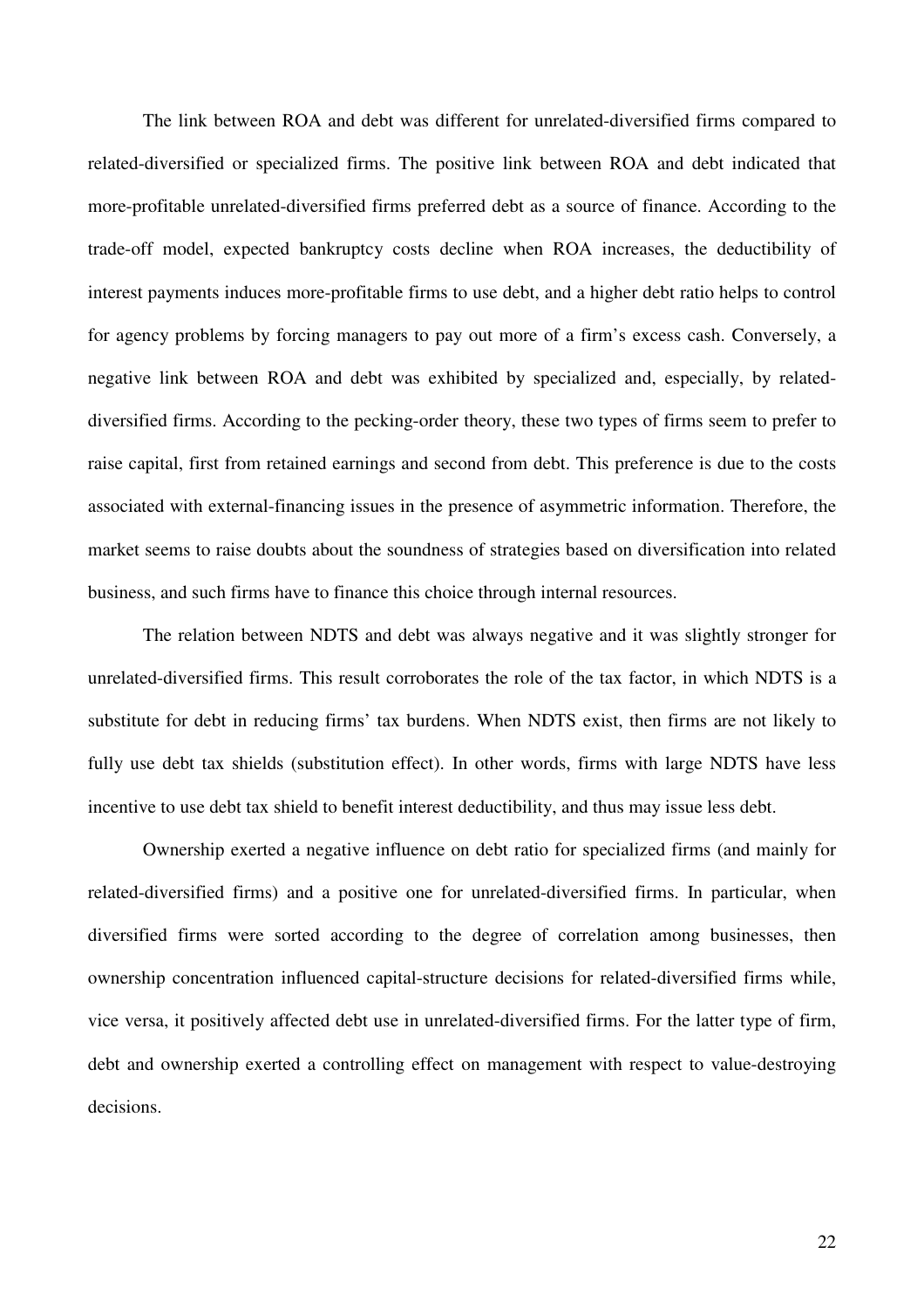The link between ROA and debt was different for unrelated-diversified firms compared to related-diversified or specialized firms. The positive link between ROA and debt indicated that more-profitable unrelated-diversified firms preferred debt as a source of finance. According to the trade-off model, expected bankruptcy costs decline when ROA increases, the deductibility of interest payments induces more-profitable firms to use debt, and a higher debt ratio helps to control for agency problems by forcing managers to pay out more of a firm's excess cash. Conversely, a negative link between ROA and debt was exhibited by specialized and, especially, by relateddiversified firms. According to the pecking-order theory, these two types of firms seem to prefer to raise capital, first from retained earnings and second from debt. This preference is due to the costs associated with external-financing issues in the presence of asymmetric information. Therefore, the market seems to raise doubts about the soundness of strategies based on diversification into related business, and such firms have to finance this choice through internal resources.

The relation between NDTS and debt was always negative and it was slightly stronger for unrelated-diversified firms. This result corroborates the role of the tax factor, in which NDTS is a substitute for debt in reducing firms' tax burdens. When NDTS exist, then firms are not likely to fully use debt tax shields (substitution effect). In other words, firms with large NDTS have less incentive to use debt tax shield to benefit interest deductibility, and thus may issue less debt.

Ownership exerted a negative influence on debt ratio for specialized firms (and mainly for related-diversified firms) and a positive one for unrelated-diversified firms. In particular, when diversified firms were sorted according to the degree of correlation among businesses, then ownership concentration influenced capital-structure decisions for related-diversified firms while, vice versa, it positively affected debt use in unrelated-diversified firms. For the latter type of firm, debt and ownership exerted a controlling effect on management with respect to value-destroying decisions.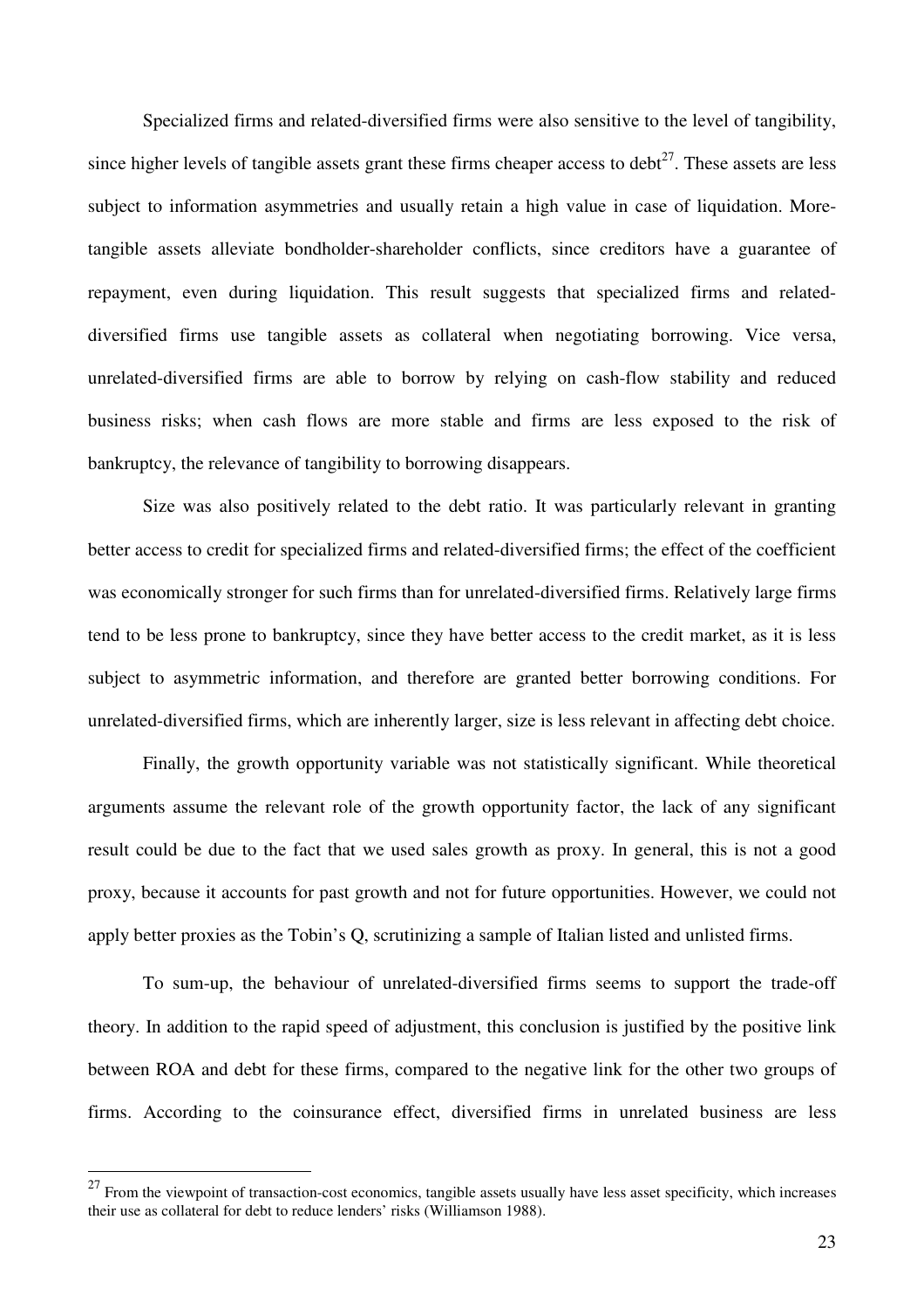Specialized firms and related-diversified firms were also sensitive to the level of tangibility, since higher levels of tangible assets grant these firms cheaper access to debt $^{27}$ . These assets are less subject to information asymmetries and usually retain a high value in case of liquidation. Moretangible assets alleviate bondholder-shareholder conflicts, since creditors have a guarantee of repayment, even during liquidation. This result suggests that specialized firms and relateddiversified firms use tangible assets as collateral when negotiating borrowing. Vice versa, unrelated-diversified firms are able to borrow by relying on cash-flow stability and reduced business risks; when cash flows are more stable and firms are less exposed to the risk of bankruptcy, the relevance of tangibility to borrowing disappears.

Size was also positively related to the debt ratio. It was particularly relevant in granting better access to credit for specialized firms and related-diversified firms; the effect of the coefficient was economically stronger for such firms than for unrelated-diversified firms. Relatively large firms tend to be less prone to bankruptcy, since they have better access to the credit market, as it is less subject to asymmetric information, and therefore are granted better borrowing conditions. For unrelated-diversified firms, which are inherently larger, size is less relevant in affecting debt choice.

Finally, the growth opportunity variable was not statistically significant. While theoretical arguments assume the relevant role of the growth opportunity factor, the lack of any significant result could be due to the fact that we used sales growth as proxy. In general, this is not a good proxy, because it accounts for past growth and not for future opportunities. However, we could not apply better proxies as the Tobin's Q, scrutinizing a sample of Italian listed and unlisted firms.

To sum-up, the behaviour of unrelated-diversified firms seems to support the trade-off theory. In addition to the rapid speed of adjustment, this conclusion is justified by the positive link between ROA and debt for these firms, compared to the negative link for the other two groups of firms. According to the coinsurance effect, diversified firms in unrelated business are less

 $27$  From the viewpoint of transaction-cost economics, tangible assets usually have less asset specificity, which increases their use as collateral for debt to reduce lenders' risks (Williamson 1988).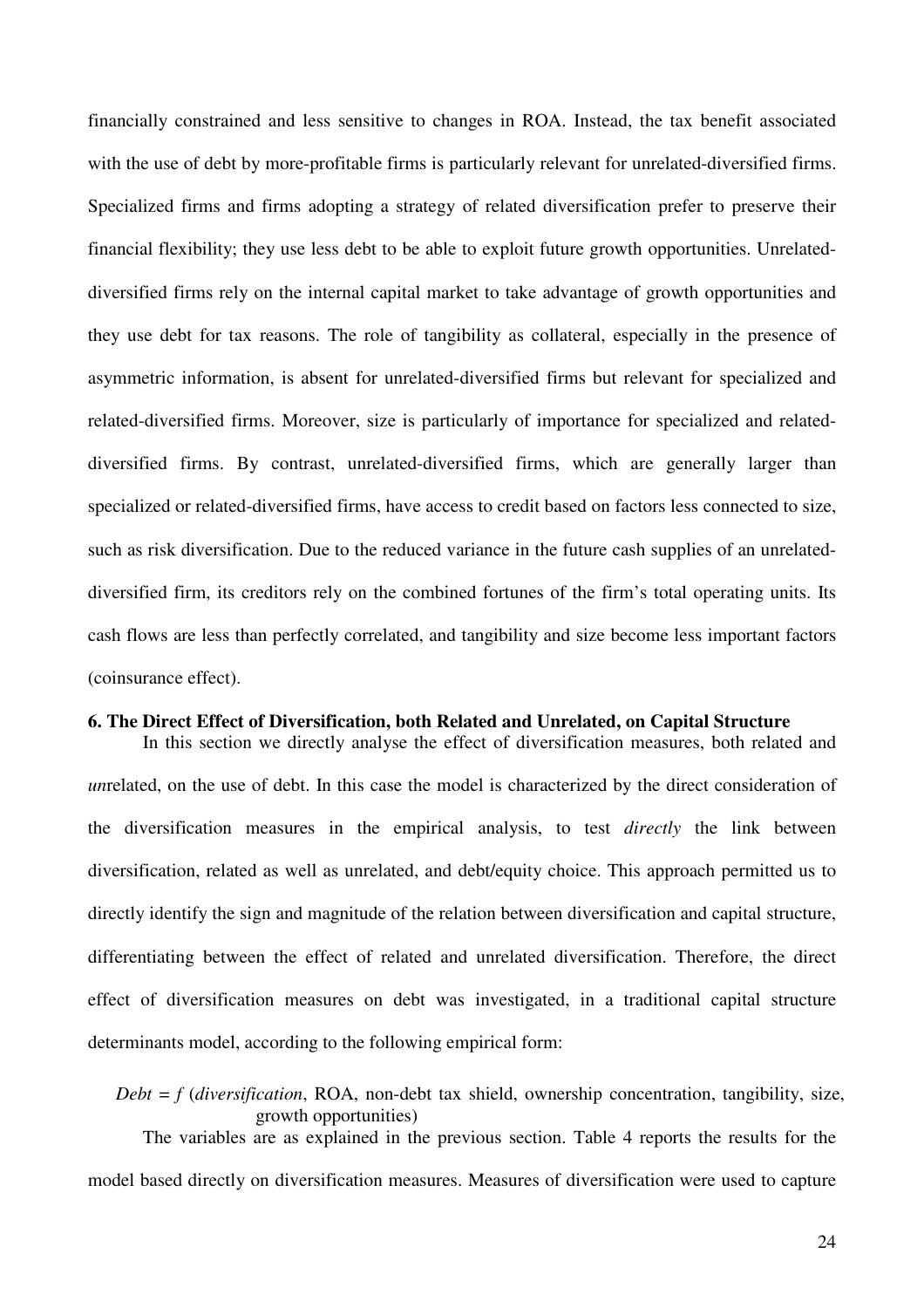financially constrained and less sensitive to changes in ROA. Instead, the tax benefit associated with the use of debt by more-profitable firms is particularly relevant for unrelated-diversified firms. Specialized firms and firms adopting a strategy of related diversification prefer to preserve their financial flexibility; they use less debt to be able to exploit future growth opportunities. Unrelateddiversified firms rely on the internal capital market to take advantage of growth opportunities and they use debt for tax reasons. The role of tangibility as collateral, especially in the presence of asymmetric information, is absent for unrelated-diversified firms but relevant for specialized and related-diversified firms. Moreover, size is particularly of importance for specialized and relateddiversified firms. By contrast, unrelated-diversified firms, which are generally larger than specialized or related-diversified firms, have access to credit based on factors less connected to size, such as risk diversification. Due to the reduced variance in the future cash supplies of an unrelateddiversified firm, its creditors rely on the combined fortunes of the firm's total operating units. Its cash flows are less than perfectly correlated, and tangibility and size become less important factors (coinsurance effect).

#### **6. The Direct Effect of Diversification, both Related and Unrelated, on Capital Structure**

In this section we directly analyse the effect of diversification measures, both related and *un*related, on the use of debt. In this case the model is characterized by the direct consideration of the diversification measures in the empirical analysis, to test *directly* the link between diversification, related as well as unrelated, and debt/equity choice. This approach permitted us to directly identify the sign and magnitude of the relation between diversification and capital structure, differentiating between the effect of related and unrelated diversification. Therefore, the direct effect of diversification measures on debt was investigated, in a traditional capital structure determinants model, according to the following empirical form:

*Debt* = *f* (*diversification*, ROA, non-debt tax shield, ownership concentration, tangibility, size, growth opportunities) The variables are as explained in the previous section. Table 4 reports the results for the model based directly on diversification measures. Measures of diversification were used to capture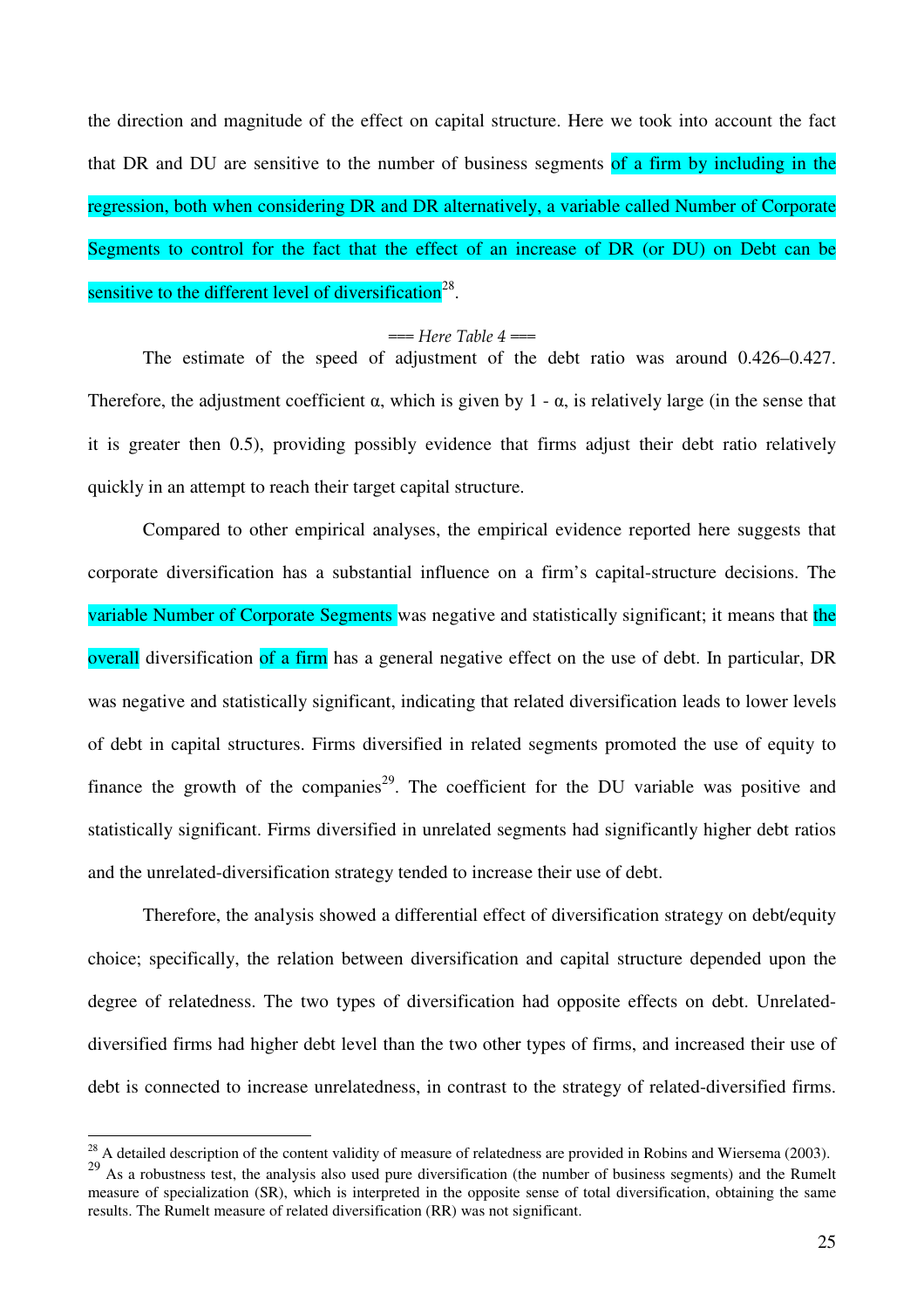the direction and magnitude of the effect on capital structure. Here we took into account the fact that DR and DU are sensitive to the number of business segments of a firm by including in the regression, both when considering DR and DR alternatively, a variable called Number of Corporate Segments to control for the fact that the effect of an increase of DR (or DU) on Debt can be sensitive to the different level of diversification<sup>28</sup>.

#### $==$  Here Table 4  $==$

The estimate of the speed of adjustment of the debt ratio was around 0.426–0.427. Therefore, the adjustment coefficient  $\alpha$ , which is given by 1 -  $\alpha$ , is relatively large (in the sense that it is greater then 0.5), providing possibly evidence that firms adjust their debt ratio relatively quickly in an attempt to reach their target capital structure.

Compared to other empirical analyses, the empirical evidence reported here suggests that corporate diversification has a substantial influence on a firm's capital-structure decisions. The variable Number of Corporate Segments was negative and statistically significant; it means that the overall diversification of a firm has a general negative effect on the use of debt. In particular, DR was negative and statistically significant, indicating that related diversification leads to lower levels of debt in capital structures. Firms diversified in related segments promoted the use of equity to finance the growth of the companies<sup>29</sup>. The coefficient for the DU variable was positive and statistically significant. Firms diversified in unrelated segments had significantly higher debt ratios and the unrelated-diversification strategy tended to increase their use of debt.

Therefore, the analysis showed a differential effect of diversification strategy on debt/equity choice; specifically, the relation between diversification and capital structure depended upon the degree of relatedness. The two types of diversification had opposite effects on debt. Unrelateddiversified firms had higher debt level than the two other types of firms, and increased their use of debt is connected to increase unrelatedness, in contrast to the strategy of related-diversified firms.

 $^{28}$  A detailed description of the content validity of measure of relatedness are provided in Robins and Wiersema (2003).

<sup>&</sup>lt;sup>29</sup> As a robustness test, the analysis also used pure diversification (the number of business segments) and the Rumelt measure of specialization (SR), which is interpreted in the opposite sense of total diversification, obtaining the same results. The Rumelt measure of related diversification (RR) was not significant.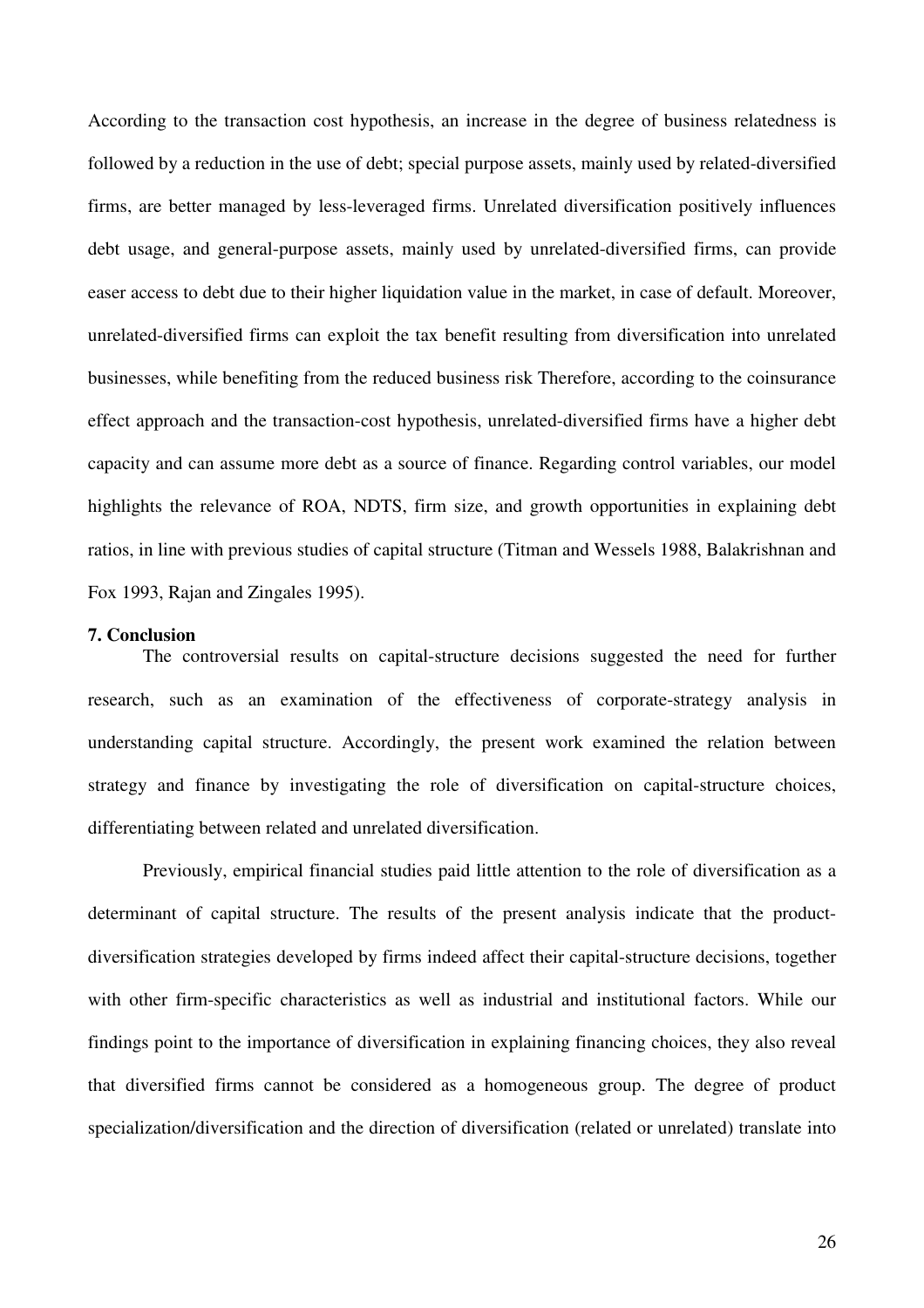According to the transaction cost hypothesis, an increase in the degree of business relatedness is followed by a reduction in the use of debt; special purpose assets, mainly used by related-diversified firms, are better managed by less-leveraged firms. Unrelated diversification positively influences debt usage, and general-purpose assets, mainly used by unrelated-diversified firms, can provide easer access to debt due to their higher liquidation value in the market, in case of default. Moreover, unrelated-diversified firms can exploit the tax benefit resulting from diversification into unrelated businesses, while benefiting from the reduced business risk Therefore, according to the coinsurance effect approach and the transaction-cost hypothesis, unrelated-diversified firms have a higher debt capacity and can assume more debt as a source of finance. Regarding control variables, our model highlights the relevance of ROA, NDTS, firm size, and growth opportunities in explaining debt ratios, in line with previous studies of capital structure (Titman and Wessels 1988, Balakrishnan and Fox 1993, Rajan and Zingales 1995).

#### **7. Conclusion**

The controversial results on capital-structure decisions suggested the need for further research, such as an examination of the effectiveness of corporate-strategy analysis in understanding capital structure. Accordingly, the present work examined the relation between strategy and finance by investigating the role of diversification on capital-structure choices, differentiating between related and unrelated diversification.

Previously, empirical financial studies paid little attention to the role of diversification as a determinant of capital structure. The results of the present analysis indicate that the productdiversification strategies developed by firms indeed affect their capital-structure decisions, together with other firm-specific characteristics as well as industrial and institutional factors. While our findings point to the importance of diversification in explaining financing choices, they also reveal that diversified firms cannot be considered as a homogeneous group. The degree of product specialization/diversification and the direction of diversification (related or unrelated) translate into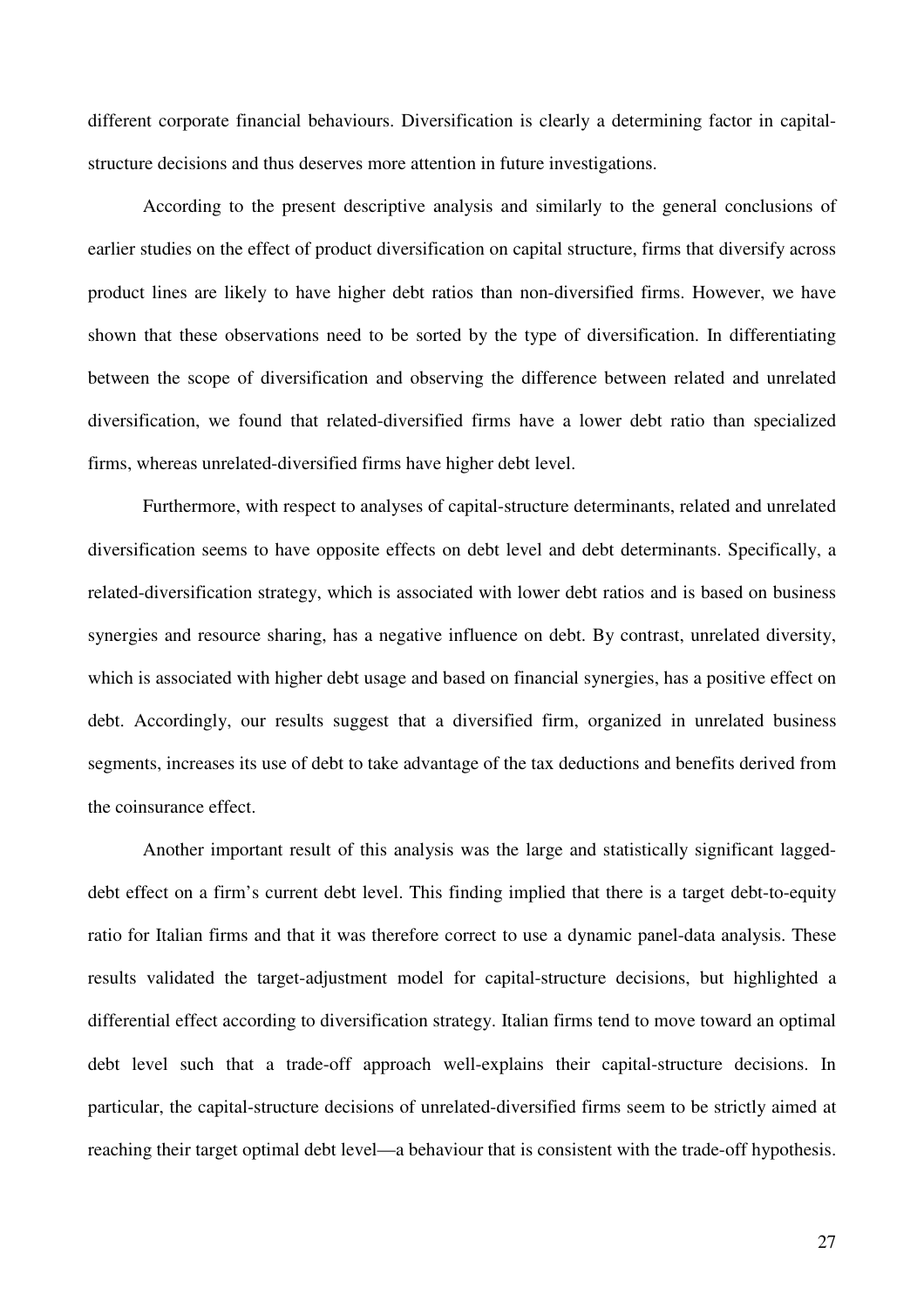different corporate financial behaviours. Diversification is clearly a determining factor in capitalstructure decisions and thus deserves more attention in future investigations.

 According to the present descriptive analysis and similarly to the general conclusions of earlier studies on the effect of product diversification on capital structure, firms that diversify across product lines are likely to have higher debt ratios than non-diversified firms. However, we have shown that these observations need to be sorted by the type of diversification. In differentiating between the scope of diversification and observing the difference between related and unrelated diversification, we found that related-diversified firms have a lower debt ratio than specialized firms, whereas unrelated-diversified firms have higher debt level.

Furthermore, with respect to analyses of capital-structure determinants, related and unrelated diversification seems to have opposite effects on debt level and debt determinants. Specifically, a related-diversification strategy, which is associated with lower debt ratios and is based on business synergies and resource sharing, has a negative influence on debt. By contrast, unrelated diversity, which is associated with higher debt usage and based on financial synergies, has a positive effect on debt. Accordingly, our results suggest that a diversified firm, organized in unrelated business segments, increases its use of debt to take advantage of the tax deductions and benefits derived from the coinsurance effect.

Another important result of this analysis was the large and statistically significant laggeddebt effect on a firm's current debt level. This finding implied that there is a target debt-to-equity ratio for Italian firms and that it was therefore correct to use a dynamic panel-data analysis. These results validated the target-adjustment model for capital-structure decisions, but highlighted a differential effect according to diversification strategy. Italian firms tend to move toward an optimal debt level such that a trade-off approach well-explains their capital-structure decisions. In particular, the capital-structure decisions of unrelated-diversified firms seem to be strictly aimed at reaching their target optimal debt level—a behaviour that is consistent with the trade-off hypothesis.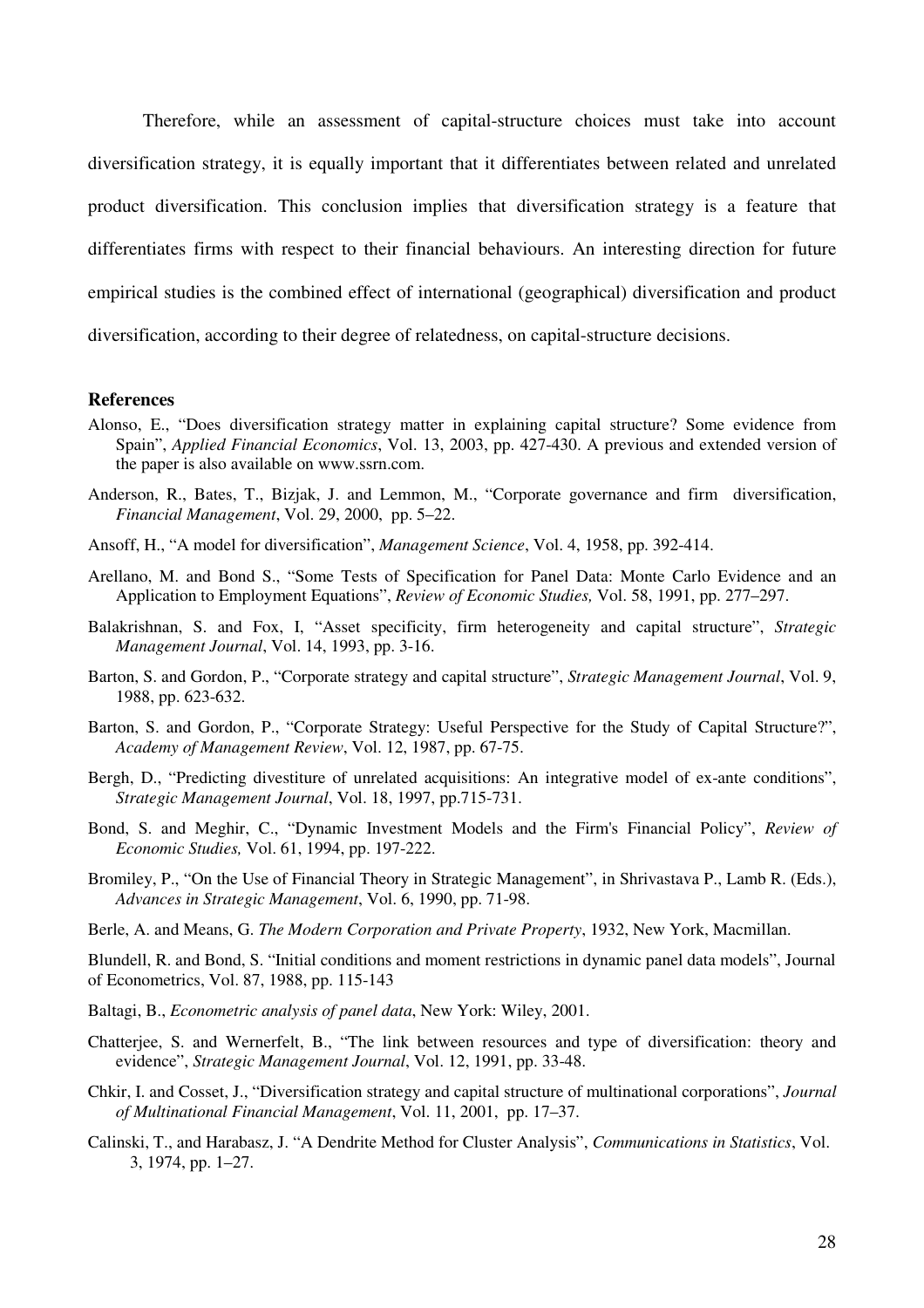Therefore, while an assessment of capital-structure choices must take into account diversification strategy, it is equally important that it differentiates between related and unrelated product diversification. This conclusion implies that diversification strategy is a feature that differentiates firms with respect to their financial behaviours. An interesting direction for future empirical studies is the combined effect of international (geographical) diversification and product diversification, according to their degree of relatedness, on capital-structure decisions.

#### **References**

- Alonso, E., "Does diversification strategy matter in explaining capital structure? Some evidence from Spain", *Applied Financial Economics*, Vol. 13, 2003, pp. 427-430. A previous and extended version of the paper is also available on www.ssrn.com.
- Anderson, R., Bates, T., Bizjak, J. and Lemmon, M., "Corporate governance and firm diversification, *Financial Management*, Vol. 29, 2000, pp. 5–22.
- Ansoff, H., "A model for diversification", *Management Science*, Vol. 4, 1958, pp. 392-414.
- Arellano, M. and Bond S., "Some Tests of Specification for Panel Data: Monte Carlo Evidence and an Application to Employment Equations", *Review of Economic Studies,* Vol. 58, 1991, pp. 277–297.
- Balakrishnan, S. and Fox, I, "Asset specificity, firm heterogeneity and capital structure", *Strategic Management Journal*, Vol. 14, 1993, pp. 3-16.
- Barton, S. and Gordon, P., "Corporate strategy and capital structure", *Strategic Management Journal*, Vol. 9, 1988, pp. 623-632.
- Barton, S. and Gordon, P., "Corporate Strategy: Useful Perspective for the Study of Capital Structure?", *Academy of Management Review*, Vol. 12, 1987, pp. 67-75.
- Bergh, D., "Predicting divestiture of unrelated acquisitions: An integrative model of ex-ante conditions", *Strategic Management Journal*, Vol. 18, 1997, pp.715-731.
- Bond, S. and Meghir, C., "Dynamic Investment Models and the Firm's Financial Policy", *Review of Economic Studies,* Vol. 61, 1994, pp. 197-222.
- Bromiley, P., "On the Use of Financial Theory in Strategic Management", in Shrivastava P., Lamb R. (Eds.), *Advances in Strategic Management*, Vol. 6, 1990, pp. 71-98.
- Berle, A. and Means, G. *The Modern Corporation and Private Property*, 1932, New York, Macmillan.

Blundell, R. and Bond, S. "Initial conditions and moment restrictions in dynamic panel data models", Journal of Econometrics, Vol. 87, 1988, pp. 115-143

- Baltagi, B., *Econometric analysis of panel data*, New York: Wiley, 2001.
- Chatterjee, S. and Wernerfelt, B., "The link between resources and type of diversification: theory and evidence", *Strategic Management Journal*, Vol. 12, 1991, pp. 33-48.
- Chkir, I. and Cosset, J., "Diversification strategy and capital structure of multinational corporations", *Journal of Multinational Financial Management*, Vol. 11, 2001, pp. 17–37.
- Calinski, T., and Harabasz, J. "A Dendrite Method for Cluster Analysis", *Communications in Statistics*, Vol. 3, 1974, pp. 1–27.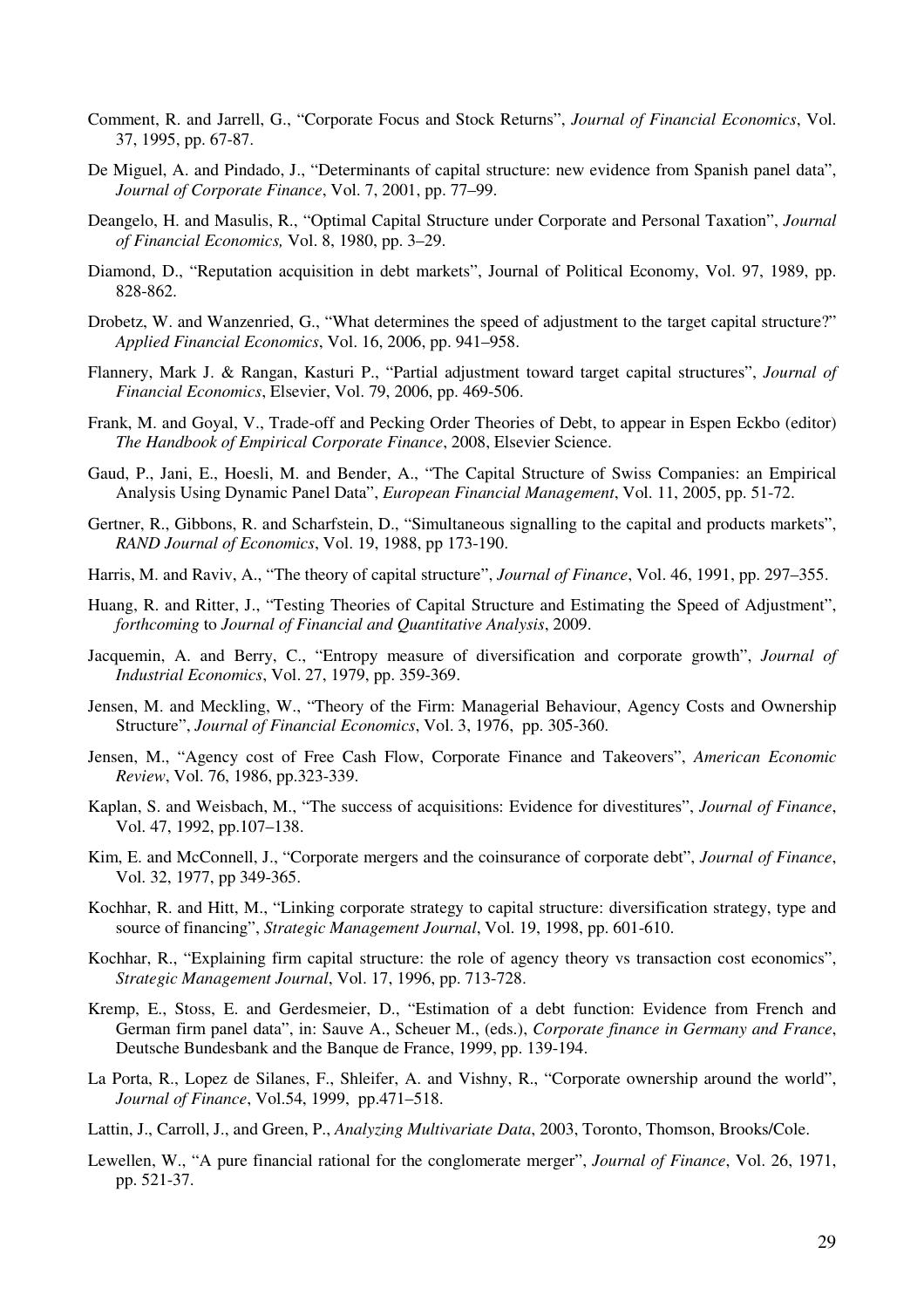- Comment, R. and Jarrell, G., "Corporate Focus and Stock Returns", *Journal of Financial Economics*, Vol. 37, 1995, pp. 67-87.
- De Miguel, A. and Pindado, J., "Determinants of capital structure: new evidence from Spanish panel data", *Journal of Corporate Finance*, Vol. 7, 2001, pp. 77–99.
- Deangelo, H. and Masulis, R., "Optimal Capital Structure under Corporate and Personal Taxation", *Journal of Financial Economics,* Vol. 8, 1980, pp. 3–29.
- Diamond, D., "Reputation acquisition in debt markets", Journal of Political Economy, Vol. 97, 1989, pp. 828-862.
- Drobetz, W. and Wanzenried, G., "What determines the speed of adjustment to the target capital structure?" *Applied Financial Economics*, Vol. 16, 2006, pp. 941–958.
- Flannery, Mark J. & Rangan, Kasturi P., "Partial adjustment toward target capital structures", *Journal of Financial Economics*, Elsevier, Vol. 79, 2006, pp. 469-506.
- Frank, M. and Goyal, V., Trade-off and Pecking Order Theories of Debt, to appear in Espen Eckbo (editor) *The Handbook of Empirical Corporate Finance*, 2008, Elsevier Science.
- Gaud, P., Jani, E., Hoesli, M. and Bender, A., "The Capital Structure of Swiss Companies: an Empirical Analysis Using Dynamic Panel Data", *European Financial Management*, Vol. 11, 2005, pp. 51-72.
- Gertner, R., Gibbons, R. and Scharfstein, D., "Simultaneous signalling to the capital and products markets", *RAND Journal of Economics*, Vol. 19, 1988, pp 173-190.
- Harris, M. and Raviv, A., "The theory of capital structure", *Journal of Finance*, Vol. 46, 1991, pp. 297–355.
- Huang, R. and Ritter, J., "Testing Theories of Capital Structure and Estimating the Speed of Adjustment", *forthcoming* to *Journal of Financial and Quantitative Analysis*, 2009.
- Jacquemin, A. and Berry, C., "Entropy measure of diversification and corporate growth", *Journal of Industrial Economics*, Vol. 27, 1979, pp. 359-369.
- Jensen, M. and Meckling, W., "Theory of the Firm: Managerial Behaviour, Agency Costs and Ownership Structure", *Journal of Financial Economics*, Vol. 3, 1976, pp. 305-360.
- Jensen, M., "Agency cost of Free Cash Flow, Corporate Finance and Takeovers", *American Economic Review*, Vol. 76, 1986, pp.323-339.
- Kaplan, S. and Weisbach, M., "The success of acquisitions: Evidence for divestitures", *Journal of Finance*, Vol. 47, 1992, pp.107–138.
- Kim, E. and McConnell, J., "Corporate mergers and the coinsurance of corporate debt", *Journal of Finance*, Vol. 32, 1977, pp 349-365.
- Kochhar, R. and Hitt, M., "Linking corporate strategy to capital structure: diversification strategy, type and source of financing", *Strategic Management Journal*, Vol. 19, 1998, pp. 601-610.
- Kochhar, R., "Explaining firm capital structure: the role of agency theory vs transaction cost economics", *Strategic Management Journal*, Vol. 17, 1996, pp. 713-728.
- Kremp, E., Stoss, E. and Gerdesmeier, D., "Estimation of a debt function: Evidence from French and German firm panel data", in: Sauve A., Scheuer M., (eds.), *Corporate finance in Germany and France*, Deutsche Bundesbank and the Banque de France, 1999, pp. 139-194.
- La Porta, R., Lopez de Silanes, F., Shleifer, A. and Vishny, R., "Corporate ownership around the world", *Journal of Finance*, Vol.54, 1999, pp.471–518.
- Lattin, J., Carroll, J., and Green, P., *Analyzing Multivariate Data*, 2003, Toronto, Thomson, Brooks/Cole.
- Lewellen, W., "A pure financial rational for the conglomerate merger", *Journal of Finance*, Vol. 26, 1971, pp. 521-37.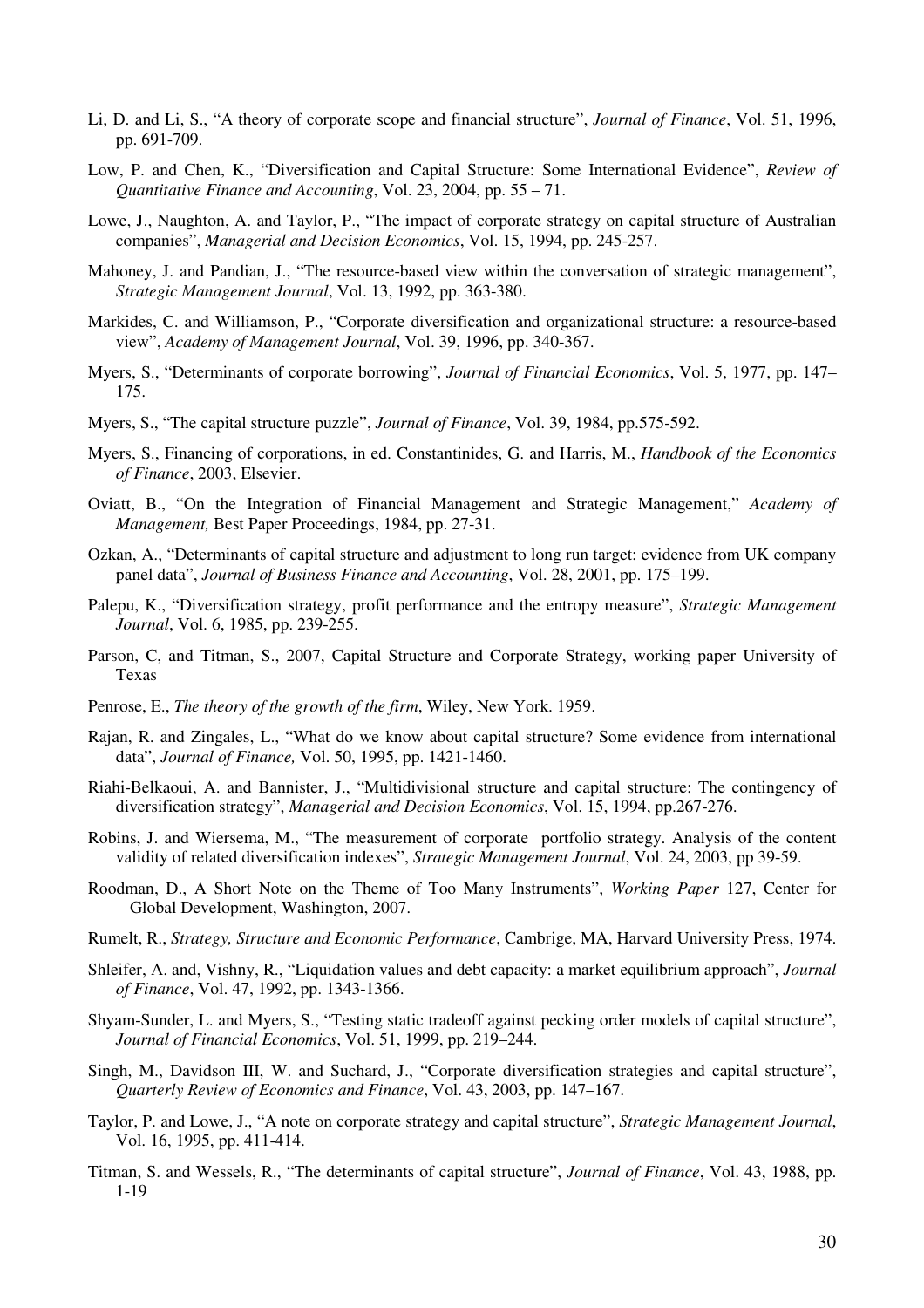- Li, D. and Li, S., "A theory of corporate scope and financial structure", *Journal of Finance*, Vol. 51, 1996, pp. 691-709.
- Low, P. and Chen, K., "Diversification and Capital Structure: Some International Evidence", *Review of Quantitative Finance and Accounting*, Vol. 23, 2004, pp. 55 – 71.
- Lowe, J., Naughton, A. and Taylor, P., "The impact of corporate strategy on capital structure of Australian companies", *Managerial and Decision Economics*, Vol. 15, 1994, pp. 245-257.
- Mahoney, J. and Pandian, J., "The resource-based view within the conversation of strategic management", *Strategic Management Journal*, Vol. 13, 1992, pp. 363-380.
- Markides, C. and Williamson, P., "Corporate diversification and organizational structure: a resource-based view", *Academy of Management Journal*, Vol. 39, 1996, pp. 340-367.
- Myers, S., "Determinants of corporate borrowing", *Journal of Financial Economics*, Vol. 5, 1977, pp. 147– 175.
- Myers, S., "The capital structure puzzle", *Journal of Finance*, Vol. 39, 1984, pp.575-592.
- Myers, S., Financing of corporations, in ed. Constantinides, G. and Harris, M., *Handbook of the Economics of Finance*, 2003, Elsevier.
- Oviatt, B., "On the Integration of Financial Management and Strategic Management," *Academy of Management,* Best Paper Proceedings, 1984, pp. 27-31.
- Ozkan, A., "Determinants of capital structure and adjustment to long run target: evidence from UK company panel data", *Journal of Business Finance and Accounting*, Vol. 28, 2001, pp. 175–199.
- Palepu, K., "Diversification strategy, profit performance and the entropy measure", *Strategic Management Journal*, Vol. 6, 1985, pp. 239-255.
- Parson, C, and Titman, S., 2007, Capital Structure and Corporate Strategy, working paper University of Texas
- Penrose, E., *The theory of the growth of the firm*, Wiley, New York. 1959.
- Rajan, R. and Zingales, L., "What do we know about capital structure? Some evidence from international data", *Journal of Finance,* Vol. 50, 1995, pp. 1421-1460.
- Riahi-Belkaoui, A. and Bannister, J., "Multidivisional structure and capital structure: The contingency of diversification strategy", *Managerial and Decision Economics*, Vol. 15, 1994, pp.267-276.
- Robins, J. and Wiersema, M., "The measurement of corporate portfolio strategy. Analysis of the content validity of related diversification indexes", *Strategic Management Journal*, Vol. 24, 2003, pp 39-59.
- Roodman, D., A Short Note on the Theme of Too Many Instruments", *Working Paper* 127, Center for Global Development, Washington, 2007.
- Rumelt, R., *Strategy, Structure and Economic Performance*, Cambrige, MA, Harvard University Press, 1974.
- Shleifer, A. and, Vishny, R., "Liquidation values and debt capacity: a market equilibrium approach", *Journal of Finance*, Vol. 47, 1992, pp. 1343-1366.
- Shyam-Sunder, L. and Myers, S., "Testing static tradeoff against pecking order models of capital structure", *Journal of Financial Economics*, Vol. 51, 1999, pp. 219–244.
- Singh, M., Davidson III, W. and Suchard, J., "Corporate diversification strategies and capital structure", *Quarterly Review of Economics and Finance*, Vol. 43, 2003, pp. 147–167.
- Taylor, P. and Lowe, J., "A note on corporate strategy and capital structure", *Strategic Management Journal*, Vol. 16, 1995, pp. 411-414.
- Titman, S. and Wessels, R., "The determinants of capital structure", *Journal of Finance*, Vol. 43, 1988, pp. 1-19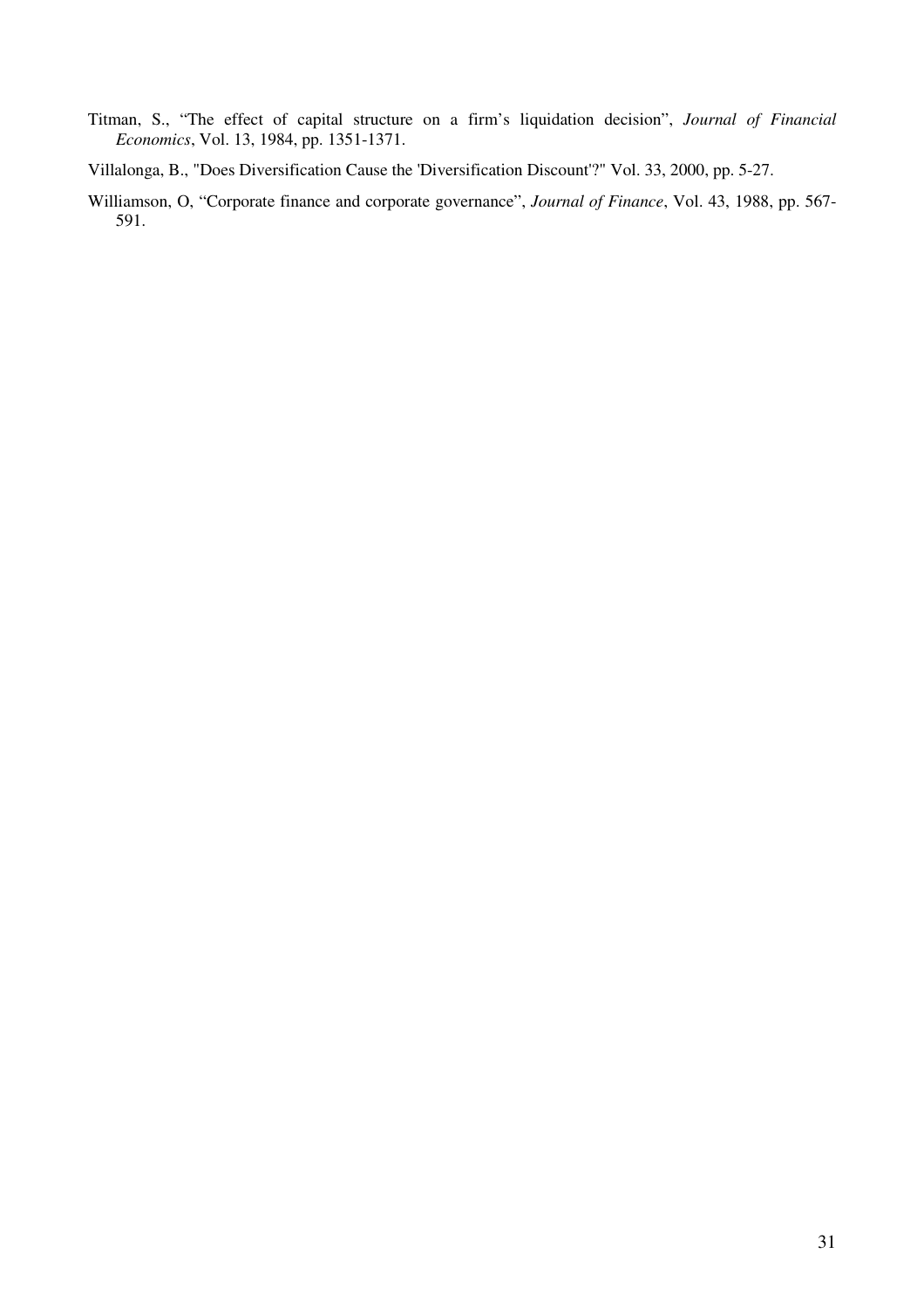- Titman, S., "The effect of capital structure on a firm's liquidation decision", *Journal of Financial Economics*, Vol. 13, 1984, pp. 1351-1371.
- Villalonga, B., "Does Diversification Cause the 'Diversification Discount'?" Vol. 33, 2000, pp. 5-27.
- Williamson, O, "Corporate finance and corporate governance", *Journal of Finance*, Vol. 43, 1988, pp. 567- 591.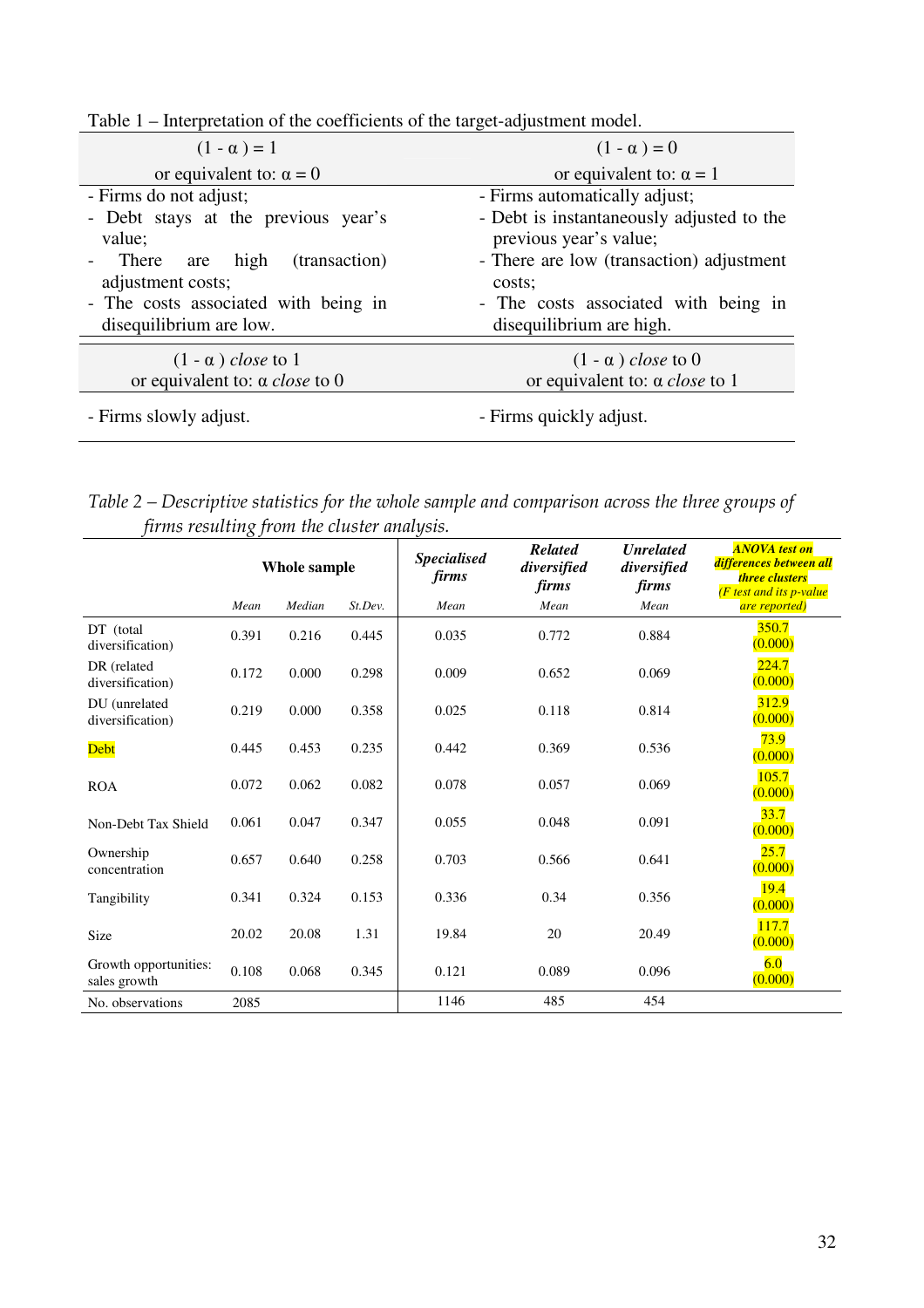| $(1 - \alpha) = 1$                                              | $(1 - \alpha) = 0$                                                  |
|-----------------------------------------------------------------|---------------------------------------------------------------------|
| or equivalent to: $\alpha = 0$                                  | or equivalent to: $\alpha = 1$                                      |
| - Firms do not adjust;                                          | - Firms automatically adjust;                                       |
| - Debt stays at the previous year's<br>value;                   | - Debt is instantaneously adjusted to the<br>previous year's value; |
| There are high<br>(transaction)<br>adjustment costs;            | - There are low (transaction) adjustment<br>costs;                  |
| - The costs associated with being in<br>disequilibrium are low. | - The costs associated with being in<br>disequilibrium are high.    |
| $(1 - \alpha)$ close to 1                                       | $(1 - \alpha)$ close to 0                                           |
| or equivalent to: $\alpha$ <i>close</i> to 0                    | or equivalent to: $\alpha$ <i>close</i> to 1                        |
| - Firms slowly adjust.                                          | - Firms quickly adjust.                                             |

Table 1 – Interpretation of the coefficients of the target-adjustment model.

Table 2 – Descriptive statistics for the whole sample and comparison across the three groups of firms resulting from the cluster analysis.

|                                       | Whole sample |        | <b>Specialised</b><br><i>firms</i> | <b>Related</b><br>diversified<br>firms | <b>Unrelated</b><br>diversified<br>firms | <b>ANOVA</b> test on<br>differences between all<br><b>three clusters</b><br>$(F$ test and its p-value |                  |
|---------------------------------------|--------------|--------|------------------------------------|----------------------------------------|------------------------------------------|-------------------------------------------------------------------------------------------------------|------------------|
|                                       | Mean         | Median | St.Dev.                            | Mean                                   | Mean                                     | Mean                                                                                                  | are reported)    |
| DT (total<br>diversification)         | 0.391        | 0.216  | 0.445                              | 0.035                                  | 0.772                                    | 0.884                                                                                                 | 350.7<br>(0.000) |
| DR (related<br>diversification)       | 0.172        | 0.000  | 0.298                              | 0.009                                  | 0.652                                    | 0.069                                                                                                 | 224.7<br>(0.000) |
| DU (unrelated<br>diversification)     | 0.219        | 0.000  | 0.358                              | 0.025                                  | 0.118                                    | 0.814                                                                                                 | 312.9<br>(0.000) |
| Debt                                  | 0.445        | 0.453  | 0.235                              | 0.442                                  | 0.369                                    | 0.536                                                                                                 | 73.9<br>(0.000)  |
| <b>ROA</b>                            | 0.072        | 0.062  | 0.082                              | 0.078                                  | 0.057                                    | 0.069                                                                                                 | 105.7<br>(0.000) |
| Non-Debt Tax Shield                   | 0.061        | 0.047  | 0.347                              | 0.055                                  | 0.048                                    | 0.091                                                                                                 | 33.7<br>(0.000)  |
| Ownership<br>concentration            | 0.657        | 0.640  | 0.258                              | 0.703                                  | 0.566                                    | 0.641                                                                                                 | 25.7<br>(0.000)  |
| Tangibility                           | 0.341        | 0.324  | 0.153                              | 0.336                                  | 0.34                                     | 0.356                                                                                                 | 19.4<br>(0.000)  |
| Size                                  | 20.02        | 20.08  | 1.31                               | 19.84                                  | 20                                       | 20.49                                                                                                 | 117.7<br>(0.000) |
| Growth opportunities:<br>sales growth | 0.108        | 0.068  | 0.345                              | 0.121                                  | 0.089                                    | 0.096                                                                                                 | 6.0<br>(0.000)   |
| No. observations                      | 2085         |        |                                    | 1146                                   | 485                                      | 454                                                                                                   |                  |